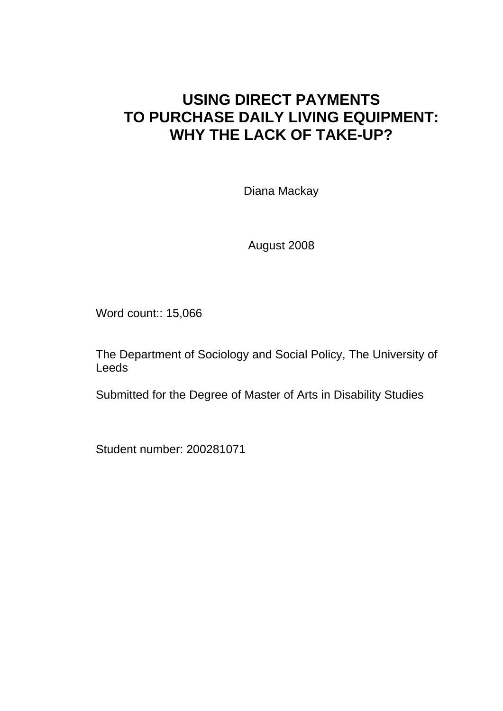# **USING DIRECT PAYMENTS TO PURCHASE DAILY LIVING EQUIPMENT: WHY THE LACK OF TAKE-UP?**

Diana Mackay

August 2008

Word count:: 15,066

The Department of Sociology and Social Policy, The University of Leeds

Submitted for the Degree of Master of Arts in Disability Studies

Student number: 200281071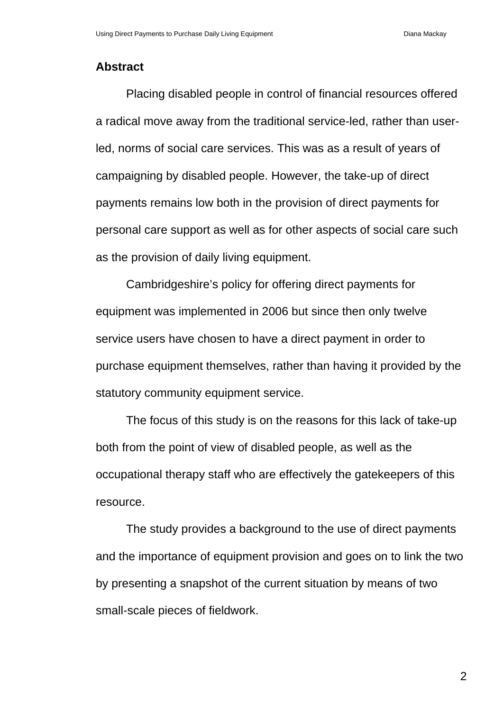### **Abstract**

Placing disabled people in control of financial resources offered a radical move away from the traditional service-led, rather than userled, norms of social care services. This was as a result of years of campaigning by disabled people. However, the take-up of direct payments remains low both in the provision of direct payments for personal care support as well as for other aspects of social care such as the provision of daily living equipment.

Cambridgeshire's policy for offering direct payments for equipment was implemented in 2006 but since then only twelve service users have chosen to have a direct payment in order to purchase equipment themselves, rather than having it provided by the statutory community equipment service.

The focus of this study is on the reasons for this lack of take-up both from the point of view of disabled people, as well as the occupational therapy staff who are effectively the gatekeepers of this resource.

The study provides a background to the use of direct payments and the importance of equipment provision and goes on to link the two by presenting a snapshot of the current situation by means of two small-scale pieces of fieldwork.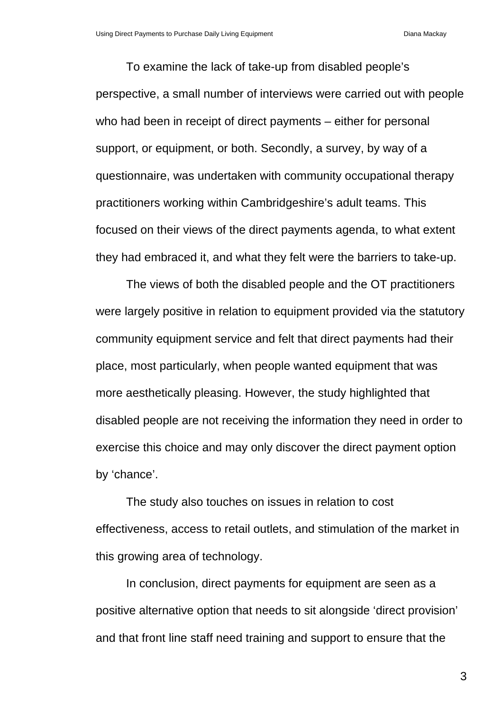To examine the lack of take-up from disabled people's perspective, a small number of interviews were carried out with people who had been in receipt of direct payments – either for personal support, or equipment, or both. Secondly, a survey, by way of a questionnaire, was undertaken with community occupational therapy practitioners working within Cambridgeshire's adult teams. This focused on their views of the direct payments agenda, to what extent they had embraced it, and what they felt were the barriers to take-up.

The views of both the disabled people and the OT practitioners were largely positive in relation to equipment provided via the statutory community equipment service and felt that direct payments had their place, most particularly, when people wanted equipment that was more aesthetically pleasing. However, the study highlighted that disabled people are not receiving the information they need in order to exercise this choice and may only discover the direct payment option by 'chance'.

The study also touches on issues in relation to cost effectiveness, access to retail outlets, and stimulation of the market in this growing area of technology.

In conclusion, direct payments for equipment are seen as a positive alternative option that needs to sit alongside 'direct provision' and that front line staff need training and support to ensure that the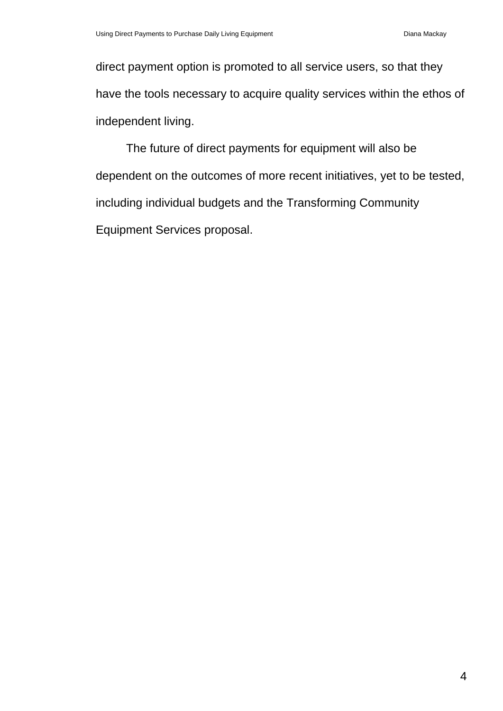direct payment option is promoted to all service users, so that they have the tools necessary to acquire quality services within the ethos of independent living.

The future of direct payments for equipment will also be dependent on the outcomes of more recent initiatives, yet to be tested, including individual budgets and the Transforming Community Equipment Services proposal.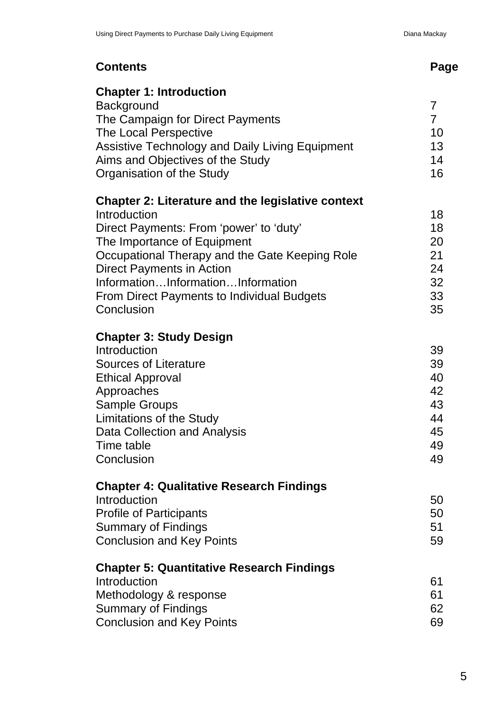| <b>Contents</b>                                                                                                                                                                                                                                                                                                                                  | Page                                                     |
|--------------------------------------------------------------------------------------------------------------------------------------------------------------------------------------------------------------------------------------------------------------------------------------------------------------------------------------------------|----------------------------------------------------------|
| <b>Chapter 1: Introduction</b><br>Background<br>The Campaign for Direct Payments<br>The Local Perspective<br><b>Assistive Technology and Daily Living Equipment</b><br>Aims and Objectives of the Study<br>Organisation of the Study                                                                                                             | $\overline{7}$<br>$\overline{7}$<br>10<br>13<br>14<br>16 |
| <b>Chapter 2: Literature and the legislative context</b><br>Introduction<br>Direct Payments: From 'power' to 'duty'<br>The Importance of Equipment<br>Occupational Therapy and the Gate Keeping Role<br><b>Direct Payments in Action</b><br>InformationInformationInformation<br><b>From Direct Payments to Individual Budgets</b><br>Conclusion | 18<br>18<br>20<br>21<br>24<br>32<br>33<br>35             |
| <b>Chapter 3: Study Design</b><br>Introduction<br><b>Sources of Literature</b><br><b>Ethical Approval</b><br>Approaches<br><b>Sample Groups</b><br><b>Limitations of the Study</b><br>Data Collection and Analysis<br>Time table<br>Conclusion                                                                                                   | 39<br>39<br>40<br>42<br>43<br>44<br>45<br>49<br>49       |
| <b>Chapter 4: Qualitative Research Findings</b><br>Introduction<br><b>Profile of Participants</b><br><b>Summary of Findings</b><br><b>Conclusion and Key Points</b>                                                                                                                                                                              | 50<br>50<br>51<br>59                                     |
| <b>Chapter 5: Quantitative Research Findings</b><br>Introduction<br>Methodology & response<br><b>Summary of Findings</b><br><b>Conclusion and Key Points</b>                                                                                                                                                                                     | 61<br>61<br>62<br>69                                     |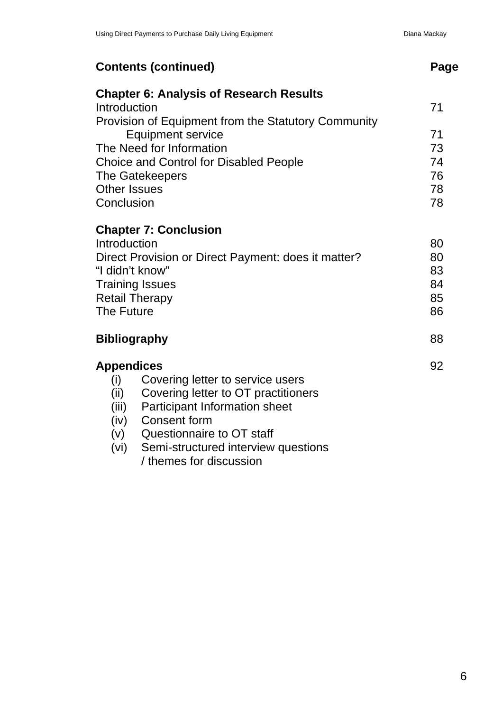|                                                     | <b>Contents (continued)</b>                         | Page |
|-----------------------------------------------------|-----------------------------------------------------|------|
|                                                     | <b>Chapter 6: Analysis of Research Results</b>      |      |
| Introduction                                        |                                                     | 71   |
|                                                     | Provision of Equipment from the Statutory Community |      |
|                                                     | <b>Equipment service</b>                            | 71   |
|                                                     | The Need for Information                            | 73   |
| <b>Choice and Control for Disabled People</b>       |                                                     | 74   |
| The Gatekeepers                                     |                                                     | 76   |
| <b>Other Issues</b>                                 |                                                     | 78   |
| Conclusion                                          |                                                     | 78   |
|                                                     | <b>Chapter 7: Conclusion</b>                        |      |
| Introduction                                        |                                                     | 80   |
| Direct Provision or Direct Payment: does it matter? |                                                     | 80   |
| "I didn't know"                                     |                                                     | 83   |
| <b>Training Issues</b>                              |                                                     | 84   |
| <b>Retail Therapy</b>                               |                                                     | 85   |
| <b>The Future</b>                                   |                                                     | 86   |
|                                                     | <b>Bibliography</b>                                 | 88   |
|                                                     |                                                     |      |
| <b>Appendices</b>                                   |                                                     | 92   |
| (i)                                                 | Covering letter to service users                    |      |
| (ii)                                                | Covering letter to OT practitioners                 |      |
| (iii)                                               | Participant Information sheet                       |      |
| (iv)                                                | <b>Consent form</b>                                 |      |
| (v)                                                 | Questionnaire to OT staff                           |      |
| (vi)                                                | Semi-structured interview questions                 |      |
|                                                     | / themes for discussion                             |      |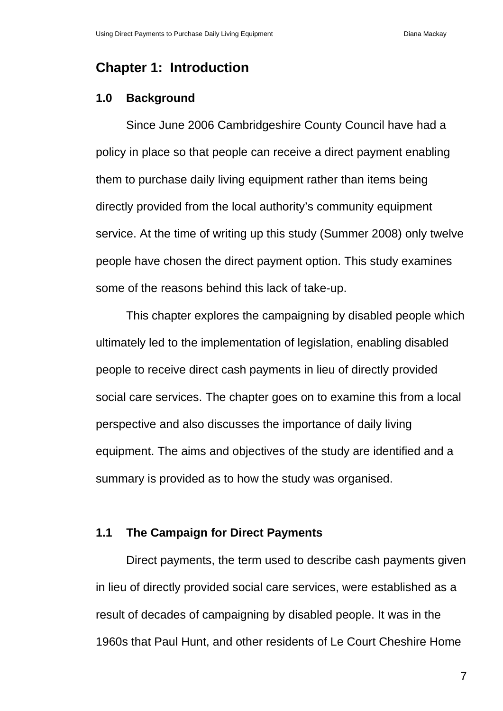# **Chapter 1: Introduction**

### **1.0 Background**

Since June 2006 Cambridgeshire County Council have had a policy in place so that people can receive a direct payment enabling them to purchase daily living equipment rather than items being directly provided from the local authority's community equipment service. At the time of writing up this study (Summer 2008) only twelve people have chosen the direct payment option. This study examines some of the reasons behind this lack of take-up.

This chapter explores the campaigning by disabled people which ultimately led to the implementation of legislation, enabling disabled people to receive direct cash payments in lieu of directly provided social care services. The chapter goes on to examine this from a local perspective and also discusses the importance of daily living equipment. The aims and objectives of the study are identified and a summary is provided as to how the study was organised.

### **1.1 The Campaign for Direct Payments**

Direct payments, the term used to describe cash payments given in lieu of directly provided social care services, were established as a result of decades of campaigning by disabled people. It was in the 1960s that Paul Hunt, and other residents of Le Court Cheshire Home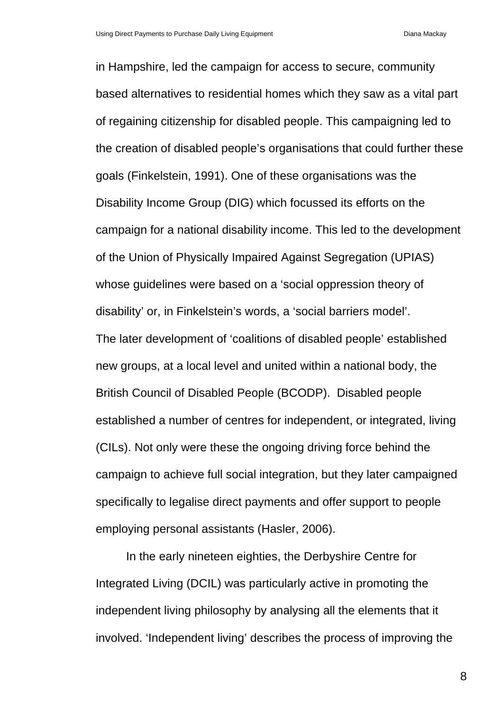in Hampshire, led the campaign for access to secure, community based alternatives to residential homes which they saw as a vital part of regaining citizenship for disabled people. This campaigning led to the creation of disabled people's organisations that could further these goals (Finkelstein, 1991). One of these organisations was the Disability Income Group (DIG) which focussed its efforts on the campaign for a national disability income. This led to the development of the Union of Physically Impaired Against Segregation (UPIAS) whose guidelines were based on a 'social oppression theory of disability' or, in Finkelstein's words, a 'social barriers model'. The later development of 'coalitions of disabled people' established new groups, at a local level and united within a national body, the British Council of Disabled People (BCODP). Disabled people established a number of centres for independent, or integrated, living (CILs). Not only were these the ongoing driving force behind the campaign to achieve full social integration, but they later campaigned specifically to legalise direct payments and offer support to people employing personal assistants (Hasler, 2006).

In the early nineteen eighties, the Derbyshire Centre for Integrated Living (DCIL) was particularly active in promoting the independent living philosophy by analysing all the elements that it involved. 'Independent living' describes the process of improving the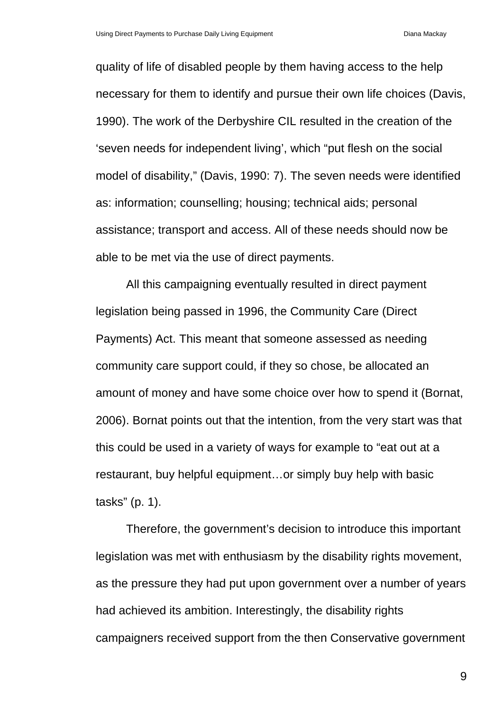quality of life of disabled people by them having access to the help necessary for them to identify and pursue their own life choices (Davis, 1990). The work of the Derbyshire CIL resulted in the creation of the 'seven needs for independent living', which "put flesh on the social model of disability," (Davis, 1990: 7). The seven needs were identified as: information; counselling; housing; technical aids; personal assistance; transport and access. All of these needs should now be able to be met via the use of direct payments.

All this campaigning eventually resulted in direct payment legislation being passed in 1996, the Community Care (Direct Payments) Act. This meant that someone assessed as needing community care support could, if they so chose, be allocated an amount of money and have some choice over how to spend it (Bornat, 2006). Bornat points out that the intention, from the very start was that this could be used in a variety of ways for example to "eat out at a restaurant, buy helpful equipment…or simply buy help with basic tasks" (p. 1).

Therefore, the government's decision to introduce this important legislation was met with enthusiasm by the disability rights movement, as the pressure they had put upon government over a number of years had achieved its ambition. Interestingly, the disability rights campaigners received support from the then Conservative government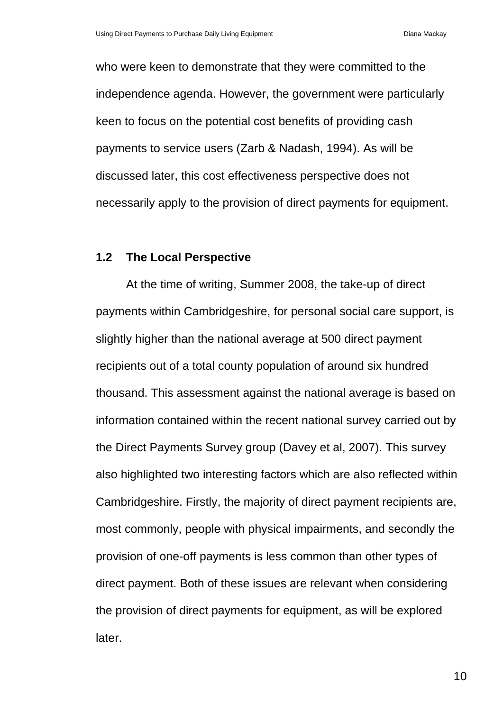who were keen to demonstrate that they were committed to the independence agenda. However, the government were particularly keen to focus on the potential cost benefits of providing cash payments to service users (Zarb & Nadash, 1994). As will be discussed later, this cost effectiveness perspective does not necessarily apply to the provision of direct payments for equipment.

#### **1.2 The Local Perspective**

At the time of writing, Summer 2008, the take-up of direct payments within Cambridgeshire, for personal social care support, is slightly higher than the national average at 500 direct payment recipients out of a total county population of around six hundred thousand. This assessment against the national average is based on information contained within the recent national survey carried out by the Direct Payments Survey group (Davey et al, 2007). This survey also highlighted two interesting factors which are also reflected within Cambridgeshire. Firstly, the majority of direct payment recipients are, most commonly, people with physical impairments, and secondly the provision of one-off payments is less common than other types of direct payment. Both of these issues are relevant when considering the provision of direct payments for equipment, as will be explored later.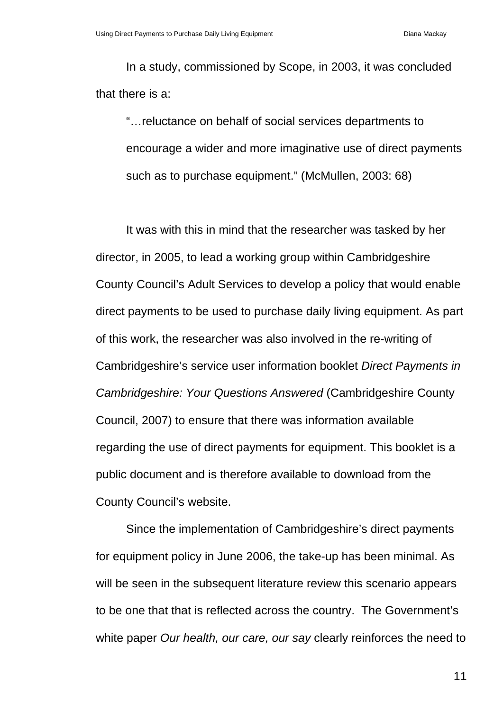In a study, commissioned by Scope, in 2003, it was concluded that there is a:

"…reluctance on behalf of social services departments to encourage a wider and more imaginative use of direct payments such as to purchase equipment." (McMullen, 2003: 68)

It was with this in mind that the researcher was tasked by her director, in 2005, to lead a working group within Cambridgeshire County Council's Adult Services to develop a policy that would enable direct payments to be used to purchase daily living equipment. As part of this work, the researcher was also involved in the re-writing of Cambridgeshire's service user information booklet *Direct Payments in Cambridgeshire: Your Questions Answered* (Cambridgeshire County Council, 2007) to ensure that there was information available regarding the use of direct payments for equipment. This booklet is a public document and is therefore available to download from the County Council's website.

Since the implementation of Cambridgeshire's direct payments for equipment policy in June 2006, the take-up has been minimal. As will be seen in the subsequent literature review this scenario appears to be one that that is reflected across the country. The Government's white paper *Our health, our care, our say* clearly reinforces the need to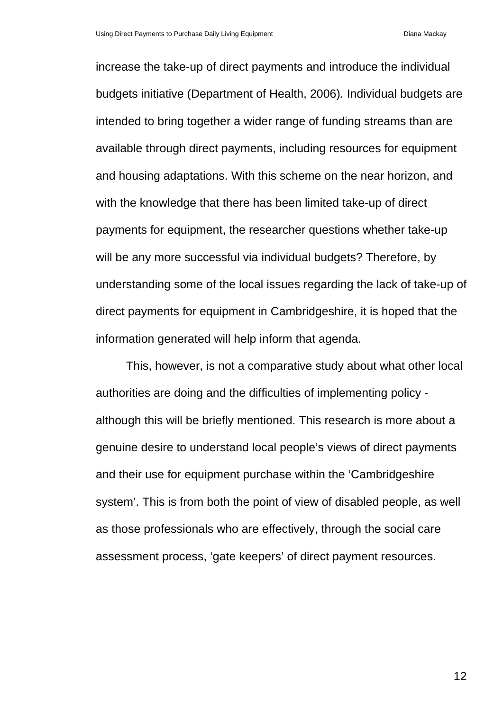increase the take-up of direct payments and introduce the individual budgets initiative (Department of Health, 2006)*.* Individual budgets are intended to bring together a wider range of funding streams than are available through direct payments, including resources for equipment and housing adaptations. With this scheme on the near horizon, and with the knowledge that there has been limited take-up of direct payments for equipment, the researcher questions whether take-up will be any more successful via individual budgets? Therefore, by understanding some of the local issues regarding the lack of take-up of direct payments for equipment in Cambridgeshire, it is hoped that the information generated will help inform that agenda.

This, however, is not a comparative study about what other local authorities are doing and the difficulties of implementing policy although this will be briefly mentioned. This research is more about a genuine desire to understand local people's views of direct payments and their use for equipment purchase within the 'Cambridgeshire system'. This is from both the point of view of disabled people, as well as those professionals who are effectively, through the social care assessment process, 'gate keepers' of direct payment resources.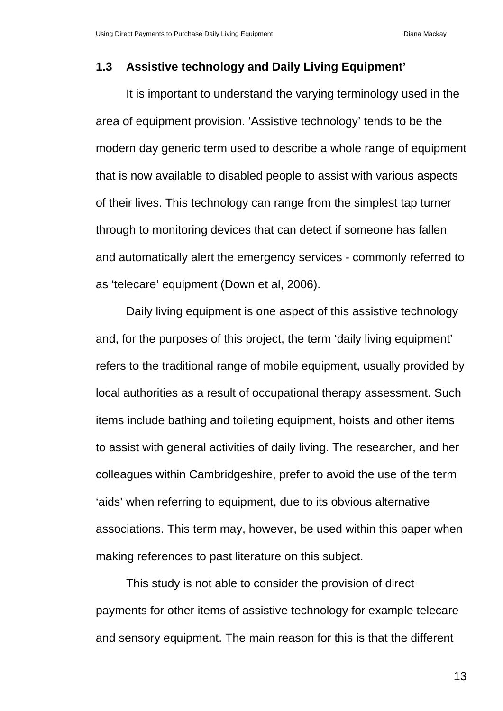### **1.3 Assistive technology and Daily Living Equipment'**

It is important to understand the varying terminology used in the area of equipment provision. 'Assistive technology' tends to be the modern day generic term used to describe a whole range of equipment that is now available to disabled people to assist with various aspects of their lives. This technology can range from the simplest tap turner through to monitoring devices that can detect if someone has fallen and automatically alert the emergency services - commonly referred to as 'telecare' equipment (Down et al, 2006).

Daily living equipment is one aspect of this assistive technology and, for the purposes of this project, the term 'daily living equipment' refers to the traditional range of mobile equipment, usually provided by local authorities as a result of occupational therapy assessment. Such items include bathing and toileting equipment, hoists and other items to assist with general activities of daily living. The researcher, and her colleagues within Cambridgeshire, prefer to avoid the use of the term 'aids' when referring to equipment, due to its obvious alternative associations. This term may, however, be used within this paper when making references to past literature on this subject.

This study is not able to consider the provision of direct payments for other items of assistive technology for example telecare and sensory equipment. The main reason for this is that the different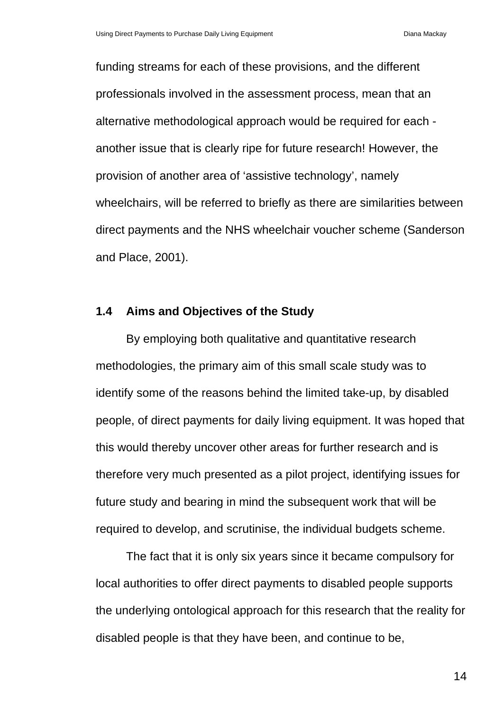funding streams for each of these provisions, and the different professionals involved in the assessment process, mean that an alternative methodological approach would be required for each another issue that is clearly ripe for future research! However, the provision of another area of 'assistive technology', namely wheelchairs, will be referred to briefly as there are similarities between direct payments and the NHS wheelchair voucher scheme (Sanderson and Place, 2001).

### **1.4 Aims and Objectives of the Study**

By employing both qualitative and quantitative research methodologies, the primary aim of this small scale study was to identify some of the reasons behind the limited take-up, by disabled people, of direct payments for daily living equipment. It was hoped that this would thereby uncover other areas for further research and is therefore very much presented as a pilot project, identifying issues for future study and bearing in mind the subsequent work that will be required to develop, and scrutinise, the individual budgets scheme.

The fact that it is only six years since it became compulsory for local authorities to offer direct payments to disabled people supports the underlying ontological approach for this research that the reality for disabled people is that they have been, and continue to be,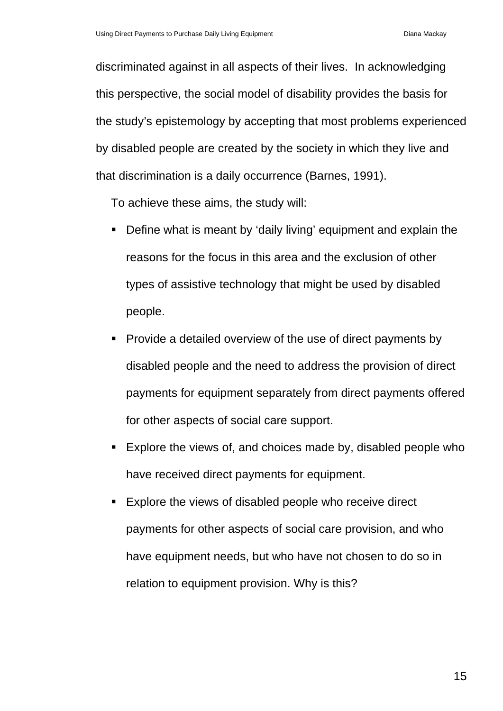discriminated against in all aspects of their lives. In acknowledging this perspective, the social model of disability provides the basis for the study's epistemology by accepting that most problems experienced by disabled people are created by the society in which they live and that discrimination is a daily occurrence (Barnes, 1991).

To achieve these aims, the study will:

- Define what is meant by 'daily living' equipment and explain the reasons for the focus in this area and the exclusion of other types of assistive technology that might be used by disabled people.
- **Provide a detailed overview of the use of direct payments by** disabled people and the need to address the provision of direct payments for equipment separately from direct payments offered for other aspects of social care support.
- Explore the views of, and choices made by, disabled people who have received direct payments for equipment.
- Explore the views of disabled people who receive direct payments for other aspects of social care provision, and who have equipment needs, but who have not chosen to do so in relation to equipment provision. Why is this?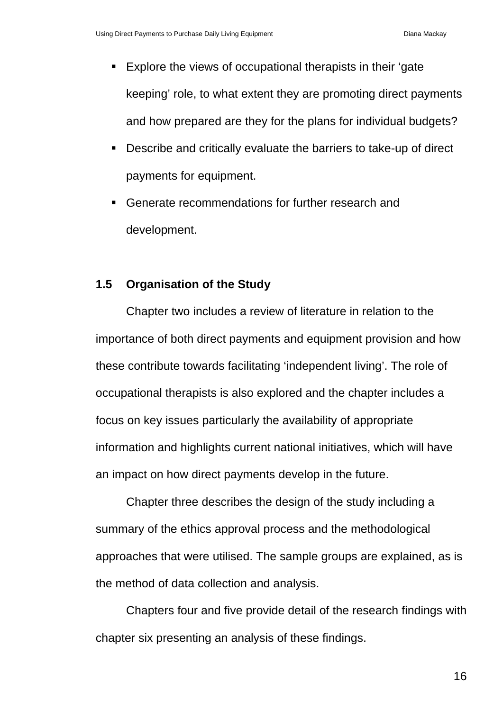- Explore the views of occupational therapists in their 'gate keeping' role, to what extent they are promoting direct payments and how prepared are they for the plans for individual budgets?
- Describe and critically evaluate the barriers to take-up of direct payments for equipment.
- Generate recommendations for further research and development.

## **1.5 Organisation of the Study**

 Chapter two includes a review of literature in relation to the importance of both direct payments and equipment provision and how these contribute towards facilitating 'independent living'. The role of occupational therapists is also explored and the chapter includes a focus on key issues particularly the availability of appropriate information and highlights current national initiatives, which will have an impact on how direct payments develop in the future.

 Chapter three describes the design of the study including a summary of the ethics approval process and the methodological approaches that were utilised. The sample groups are explained, as is the method of data collection and analysis.

 Chapters four and five provide detail of the research findings with chapter six presenting an analysis of these findings.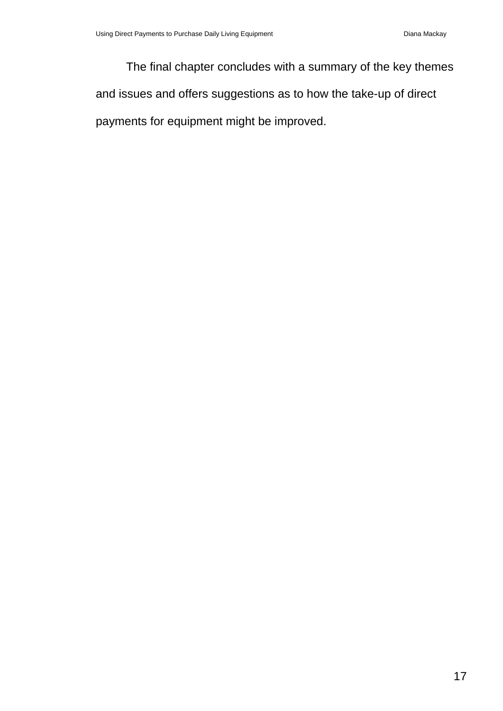The final chapter concludes with a summary of the key themes and issues and offers suggestions as to how the take-up of direct payments for equipment might be improved.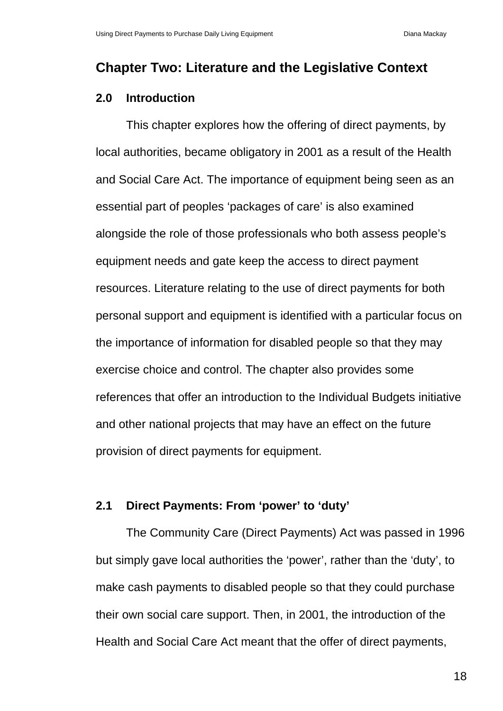# **Chapter Two: Literature and the Legislative Context**

### **2.0 Introduction**

This chapter explores how the offering of direct payments, by local authorities, became obligatory in 2001 as a result of the Health and Social Care Act. The importance of equipment being seen as an essential part of peoples 'packages of care' is also examined alongside the role of those professionals who both assess people's equipment needs and gate keep the access to direct payment resources. Literature relating to the use of direct payments for both personal support and equipment is identified with a particular focus on the importance of information for disabled people so that they may exercise choice and control. The chapter also provides some references that offer an introduction to the Individual Budgets initiative and other national projects that may have an effect on the future provision of direct payments for equipment.

### **2.1 Direct Payments: From 'power' to 'duty'**

The Community Care (Direct Payments) Act was passed in 1996 but simply gave local authorities the 'power', rather than the 'duty', to make cash payments to disabled people so that they could purchase their own social care support. Then, in 2001, the introduction of the Health and Social Care Act meant that the offer of direct payments,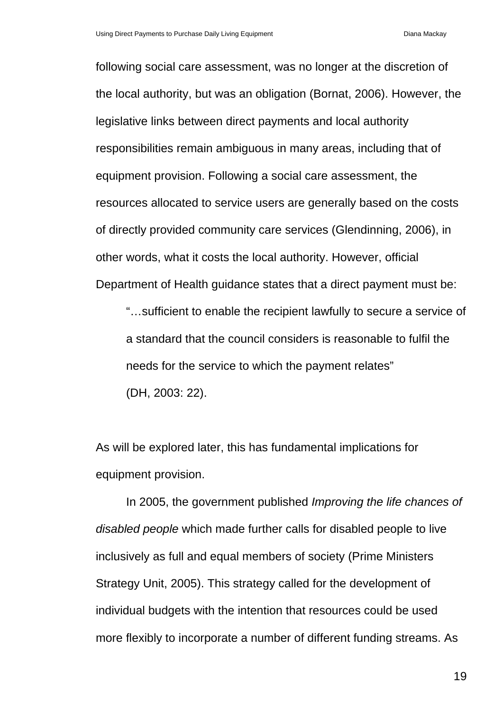following social care assessment, was no longer at the discretion of the local authority, but was an obligation (Bornat, 2006). However, the legislative links between direct payments and local authority responsibilities remain ambiguous in many areas, including that of equipment provision. Following a social care assessment, the resources allocated to service users are generally based on the costs of directly provided community care services (Glendinning, 2006), in other words, what it costs the local authority. However, official Department of Health guidance states that a direct payment must be:

"…sufficient to enable the recipient lawfully to secure a service of a standard that the council considers is reasonable to fulfil the needs for the service to which the payment relates" (DH, 2003: 22).

As will be explored later, this has fundamental implications for equipment provision.

In 2005, the government published *Improving the life chances of disabled people* which made further calls for disabled people to live inclusively as full and equal members of society (Prime Ministers Strategy Unit, 2005). This strategy called for the development of individual budgets with the intention that resources could be used more flexibly to incorporate a number of different funding streams. As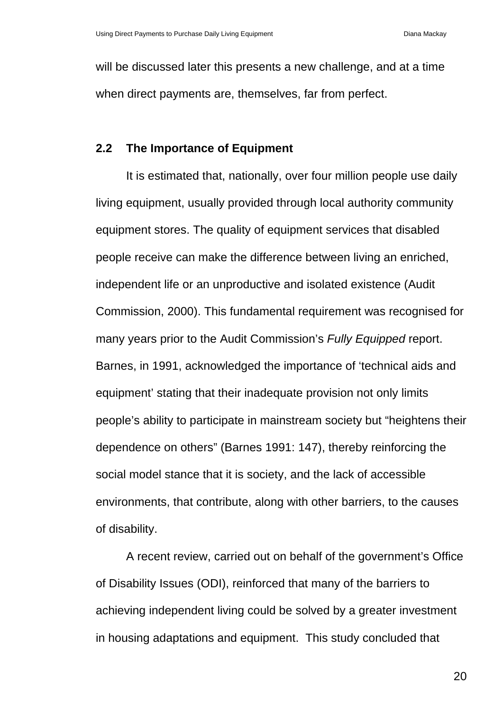will be discussed later this presents a new challenge, and at a time when direct payments are, themselves, far from perfect.

### **2.2 The Importance of Equipment**

It is estimated that, nationally, over four million people use daily living equipment, usually provided through local authority community equipment stores. The quality of equipment services that disabled people receive can make the difference between living an enriched, independent life or an unproductive and isolated existence (Audit Commission, 2000). This fundamental requirement was recognised for many years prior to the Audit Commission's *Fully Equipped* report. Barnes, in 1991, acknowledged the importance of 'technical aids and equipment' stating that their inadequate provision not only limits people's ability to participate in mainstream society but "heightens their dependence on others" (Barnes 1991: 147), thereby reinforcing the social model stance that it is society, and the lack of accessible environments, that contribute, along with other barriers, to the causes of disability.

A recent review, carried out on behalf of the government's Office of Disability Issues (ODI), reinforced that many of the barriers to achieving independent living could be solved by a greater investment in housing adaptations and equipment. This study concluded that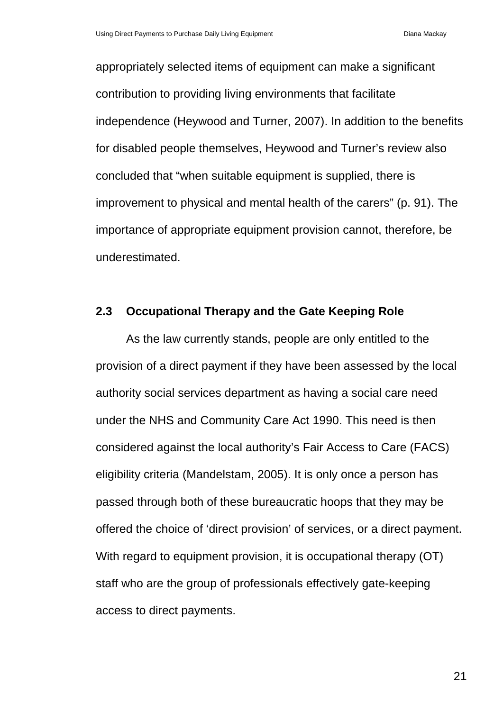appropriately selected items of equipment can make a significant contribution to providing living environments that facilitate independence (Heywood and Turner, 2007). In addition to the benefits for disabled people themselves, Heywood and Turner's review also concluded that "when suitable equipment is supplied, there is improvement to physical and mental health of the carers" (p. 91). The importance of appropriate equipment provision cannot, therefore, be underestimated.

#### **2.3 Occupational Therapy and the Gate Keeping Role**

As the law currently stands, people are only entitled to the provision of a direct payment if they have been assessed by the local authority social services department as having a social care need under the NHS and Community Care Act 1990. This need is then considered against the local authority's Fair Access to Care (FACS) eligibility criteria (Mandelstam, 2005). It is only once a person has passed through both of these bureaucratic hoops that they may be offered the choice of 'direct provision' of services, or a direct payment. With regard to equipment provision, it is occupational therapy (OT) staff who are the group of professionals effectively gate-keeping access to direct payments.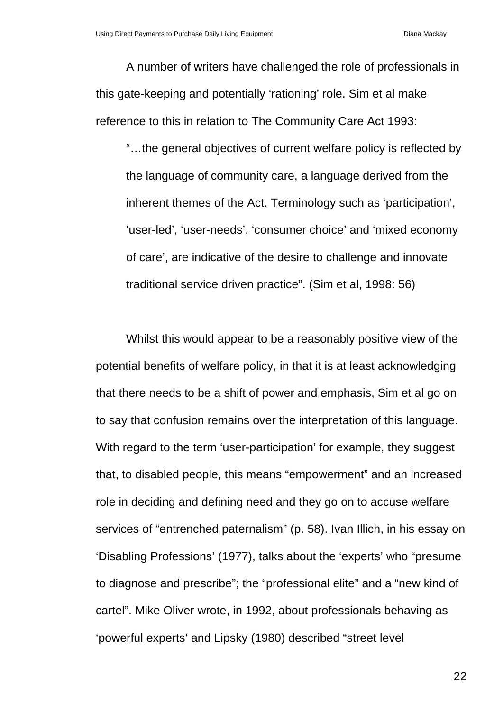A number of writers have challenged the role of professionals in this gate-keeping and potentially 'rationing' role. Sim et al make reference to this in relation to The Community Care Act 1993:

"…the general objectives of current welfare policy is reflected by the language of community care, a language derived from the inherent themes of the Act. Terminology such as 'participation', 'user-led', 'user-needs', 'consumer choice' and 'mixed economy of care', are indicative of the desire to challenge and innovate traditional service driven practice". (Sim et al, 1998: 56)

Whilst this would appear to be a reasonably positive view of the potential benefits of welfare policy, in that it is at least acknowledging that there needs to be a shift of power and emphasis, Sim et al go on to say that confusion remains over the interpretation of this language. With regard to the term 'user-participation' for example, they suggest that, to disabled people, this means "empowerment" and an increased role in deciding and defining need and they go on to accuse welfare services of "entrenched paternalism" (p. 58). Ivan Illich, in his essay on 'Disabling Professions' (1977), talks about the 'experts' who "presume to diagnose and prescribe"; the "professional elite" and a "new kind of cartel". Mike Oliver wrote, in 1992, about professionals behaving as 'powerful experts' and Lipsky (1980) described "street level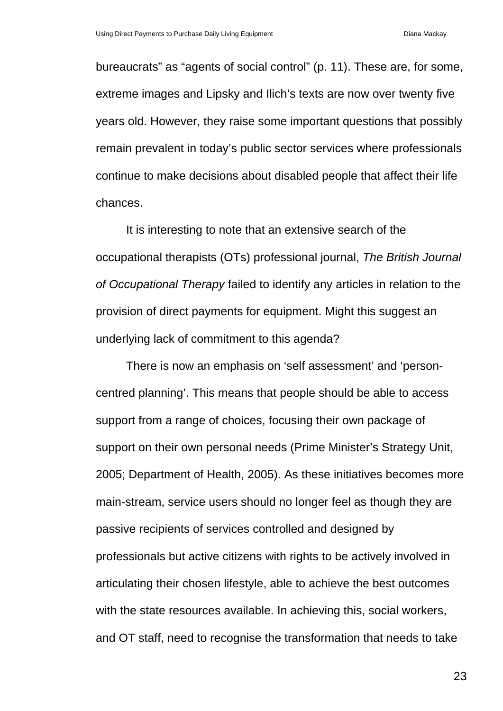bureaucrats" as "agents of social control" (p. 11). These are, for some, extreme images and Lipsky and Ilich's texts are now over twenty five years old. However, they raise some important questions that possibly remain prevalent in today's public sector services where professionals continue to make decisions about disabled people that affect their life chances.

It is interesting to note that an extensive search of the occupational therapists (OTs) professional journal, *The British Journal of Occupational Therapy* failed to identify any articles in relation to the provision of direct payments for equipment. Might this suggest an underlying lack of commitment to this agenda?

There is now an emphasis on 'self assessment' and 'personcentred planning'. This means that people should be able to access support from a range of choices, focusing their own package of support on their own personal needs (Prime Minister's Strategy Unit, 2005; Department of Health, 2005). As these initiatives becomes more main-stream, service users should no longer feel as though they are passive recipients of services controlled and designed by professionals but active citizens with rights to be actively involved in articulating their chosen lifestyle, able to achieve the best outcomes with the state resources available. In achieving this, social workers, and OT staff, need to recognise the transformation that needs to take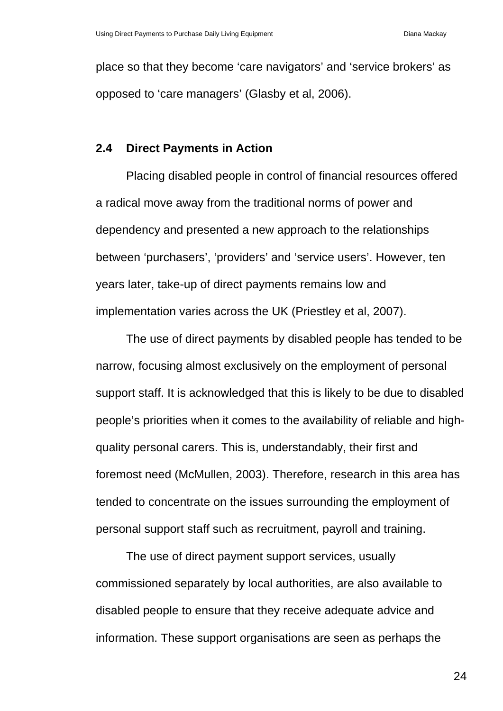place so that they become 'care navigators' and 'service brokers' as opposed to 'care managers' (Glasby et al, 2006).

### **2.4 Direct Payments in Action**

Placing disabled people in control of financial resources offered a radical move away from the traditional norms of power and dependency and presented a new approach to the relationships between 'purchasers', 'providers' and 'service users'. However, ten years later, take-up of direct payments remains low and implementation varies across the UK (Priestley et al, 2007).

The use of direct payments by disabled people has tended to be narrow, focusing almost exclusively on the employment of personal support staff. It is acknowledged that this is likely to be due to disabled people's priorities when it comes to the availability of reliable and highquality personal carers. This is, understandably, their first and foremost need (McMullen, 2003). Therefore, research in this area has tended to concentrate on the issues surrounding the employment of personal support staff such as recruitment, payroll and training.

The use of direct payment support services, usually commissioned separately by local authorities, are also available to disabled people to ensure that they receive adequate advice and information. These support organisations are seen as perhaps the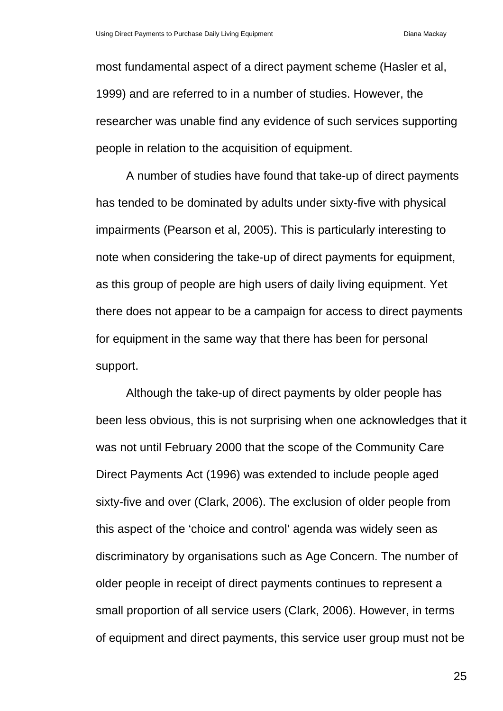most fundamental aspect of a direct payment scheme (Hasler et al, 1999) and are referred to in a number of studies. However, the researcher was unable find any evidence of such services supporting people in relation to the acquisition of equipment.

A number of studies have found that take-up of direct payments has tended to be dominated by adults under sixty-five with physical impairments (Pearson et al, 2005). This is particularly interesting to note when considering the take-up of direct payments for equipment, as this group of people are high users of daily living equipment. Yet there does not appear to be a campaign for access to direct payments for equipment in the same way that there has been for personal support.

Although the take-up of direct payments by older people has been less obvious, this is not surprising when one acknowledges that it was not until February 2000 that the scope of the Community Care Direct Payments Act (1996) was extended to include people aged sixty-five and over (Clark, 2006). The exclusion of older people from this aspect of the 'choice and control' agenda was widely seen as discriminatory by organisations such as Age Concern. The number of older people in receipt of direct payments continues to represent a small proportion of all service users (Clark, 2006). However, in terms of equipment and direct payments, this service user group must not be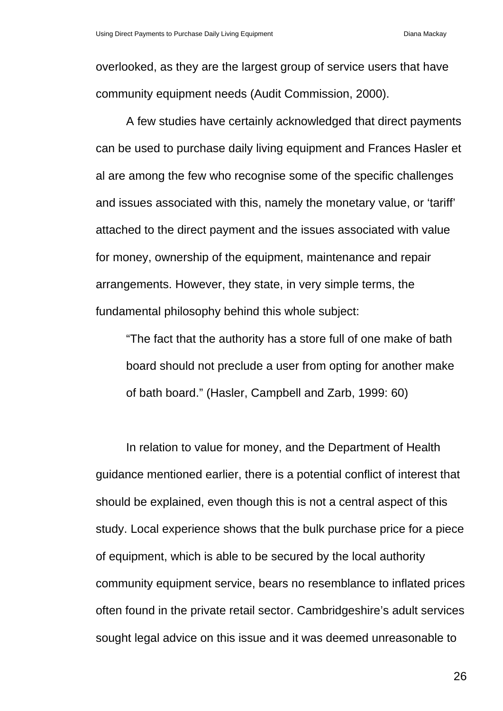overlooked, as they are the largest group of service users that have community equipment needs (Audit Commission, 2000).

A few studies have certainly acknowledged that direct payments can be used to purchase daily living equipment and Frances Hasler et al are among the few who recognise some of the specific challenges and issues associated with this, namely the monetary value, or 'tariff' attached to the direct payment and the issues associated with value for money, ownership of the equipment, maintenance and repair arrangements. However, they state, in very simple terms, the fundamental philosophy behind this whole subject:

"The fact that the authority has a store full of one make of bath board should not preclude a user from opting for another make of bath board." (Hasler, Campbell and Zarb, 1999: 60)

In relation to value for money, and the Department of Health guidance mentioned earlier, there is a potential conflict of interest that should be explained, even though this is not a central aspect of this study. Local experience shows that the bulk purchase price for a piece of equipment, which is able to be secured by the local authority community equipment service, bears no resemblance to inflated prices often found in the private retail sector. Cambridgeshire's adult services sought legal advice on this issue and it was deemed unreasonable to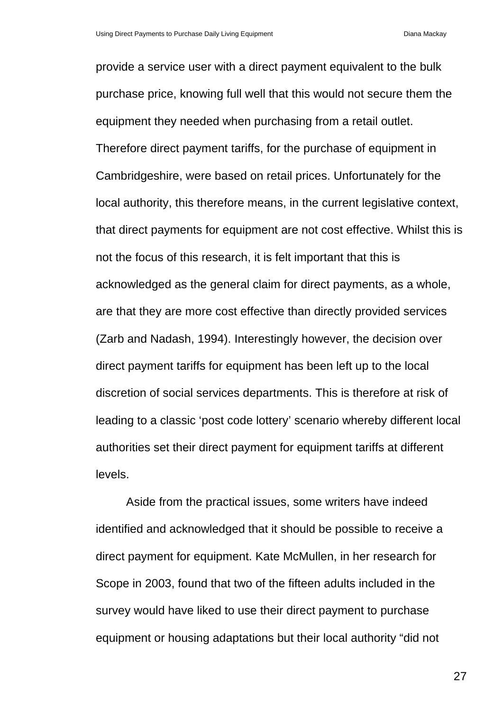provide a service user with a direct payment equivalent to the bulk purchase price, knowing full well that this would not secure them the equipment they needed when purchasing from a retail outlet. Therefore direct payment tariffs, for the purchase of equipment in Cambridgeshire, were based on retail prices. Unfortunately for the local authority, this therefore means, in the current legislative context, that direct payments for equipment are not cost effective. Whilst this is not the focus of this research, it is felt important that this is acknowledged as the general claim for direct payments, as a whole, are that they are more cost effective than directly provided services (Zarb and Nadash, 1994). Interestingly however, the decision over direct payment tariffs for equipment has been left up to the local discretion of social services departments. This is therefore at risk of leading to a classic 'post code lottery' scenario whereby different local authorities set their direct payment for equipment tariffs at different levels.

Aside from the practical issues, some writers have indeed identified and acknowledged that it should be possible to receive a direct payment for equipment. Kate McMullen, in her research for Scope in 2003, found that two of the fifteen adults included in the survey would have liked to use their direct payment to purchase equipment or housing adaptations but their local authority "did not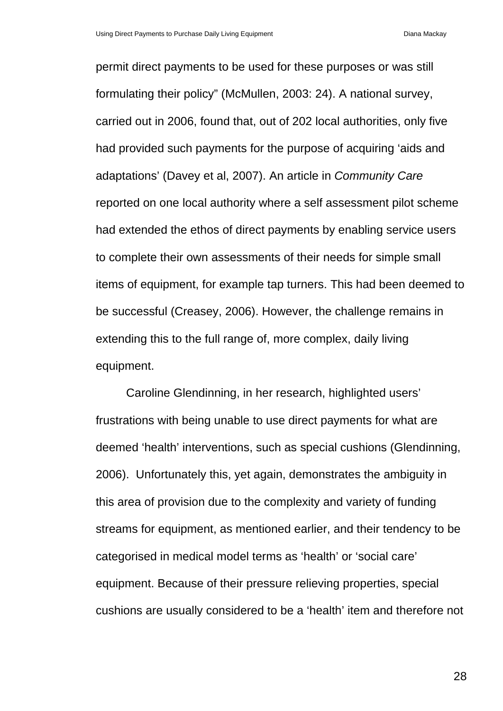permit direct payments to be used for these purposes or was still formulating their policy" (McMullen, 2003: 24). A national survey, carried out in 2006, found that, out of 202 local authorities, only five had provided such payments for the purpose of acquiring 'aids and adaptations' (Davey et al, 2007). An article in *Community Care* reported on one local authority where a self assessment pilot scheme had extended the ethos of direct payments by enabling service users to complete their own assessments of their needs for simple small items of equipment, for example tap turners. This had been deemed to be successful (Creasey, 2006). However, the challenge remains in extending this to the full range of, more complex, daily living equipment.

Caroline Glendinning, in her research, highlighted users' frustrations with being unable to use direct payments for what are deemed 'health' interventions, such as special cushions (Glendinning, 2006). Unfortunately this, yet again, demonstrates the ambiguity in this area of provision due to the complexity and variety of funding streams for equipment, as mentioned earlier, and their tendency to be categorised in medical model terms as 'health' or 'social care' equipment. Because of their pressure relieving properties, special cushions are usually considered to be a 'health' item and therefore not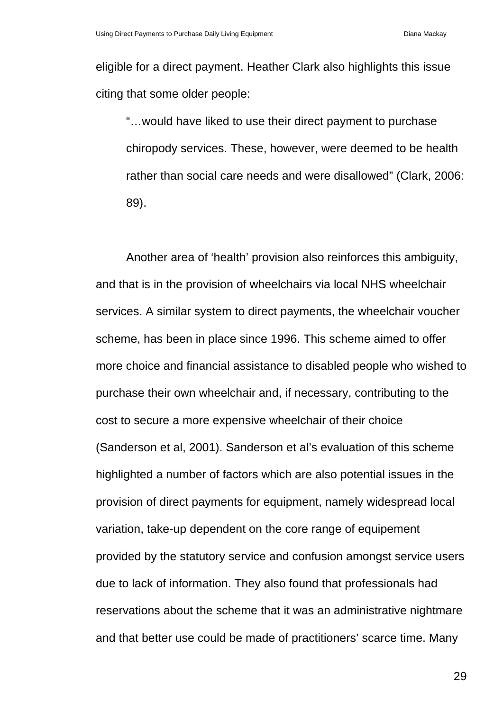eligible for a direct payment. Heather Clark also highlights this issue citing that some older people:

"…would have liked to use their direct payment to purchase chiropody services. These, however, were deemed to be health rather than social care needs and were disallowed" (Clark, 2006: 89).

Another area of 'health' provision also reinforces this ambiguity, and that is in the provision of wheelchairs via local NHS wheelchair services. A similar system to direct payments, the wheelchair voucher scheme, has been in place since 1996. This scheme aimed to offer more choice and financial assistance to disabled people who wished to purchase their own wheelchair and, if necessary, contributing to the cost to secure a more expensive wheelchair of their choice (Sanderson et al, 2001). Sanderson et al's evaluation of this scheme highlighted a number of factors which are also potential issues in the provision of direct payments for equipment, namely widespread local variation, take-up dependent on the core range of equipement provided by the statutory service and confusion amongst service users due to lack of information. They also found that professionals had reservations about the scheme that it was an administrative nightmare and that better use could be made of practitioners' scarce time. Many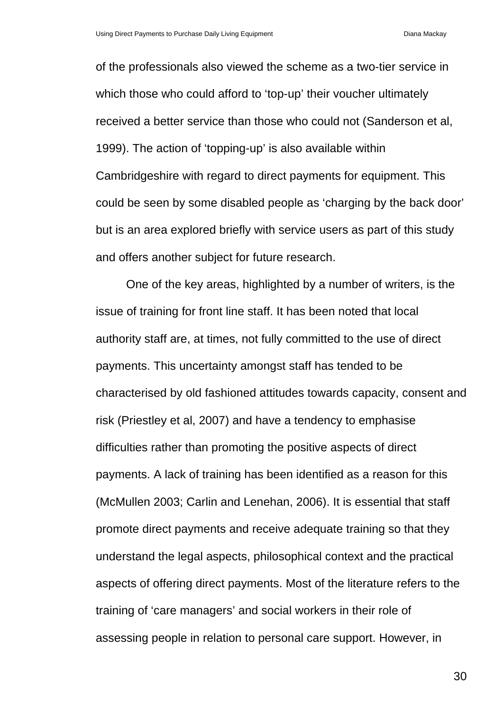of the professionals also viewed the scheme as a two-tier service in which those who could afford to 'top-up' their voucher ultimately received a better service than those who could not (Sanderson et al, 1999). The action of 'topping-up' is also available within Cambridgeshire with regard to direct payments for equipment. This could be seen by some disabled people as 'charging by the back door' but is an area explored briefly with service users as part of this study and offers another subject for future research.

One of the key areas, highlighted by a number of writers, is the issue of training for front line staff. It has been noted that local authority staff are, at times, not fully committed to the use of direct payments. This uncertainty amongst staff has tended to be characterised by old fashioned attitudes towards capacity, consent and risk (Priestley et al, 2007) and have a tendency to emphasise difficulties rather than promoting the positive aspects of direct payments. A lack of training has been identified as a reason for this (McMullen 2003; Carlin and Lenehan, 2006). It is essential that staff promote direct payments and receive adequate training so that they understand the legal aspects, philosophical context and the practical aspects of offering direct payments. Most of the literature refers to the training of 'care managers' and social workers in their role of assessing people in relation to personal care support. However, in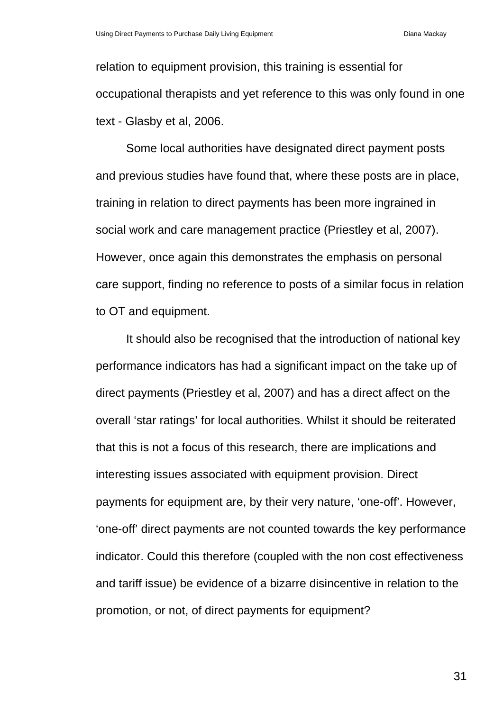relation to equipment provision, this training is essential for occupational therapists and yet reference to this was only found in one text - Glasby et al, 2006.

Some local authorities have designated direct payment posts and previous studies have found that, where these posts are in place, training in relation to direct payments has been more ingrained in social work and care management practice (Priestley et al, 2007). However, once again this demonstrates the emphasis on personal care support, finding no reference to posts of a similar focus in relation to OT and equipment.

It should also be recognised that the introduction of national key performance indicators has had a significant impact on the take up of direct payments (Priestley et al, 2007) and has a direct affect on the overall 'star ratings' for local authorities. Whilst it should be reiterated that this is not a focus of this research, there are implications and interesting issues associated with equipment provision. Direct payments for equipment are, by their very nature, 'one-off'. However, 'one-off' direct payments are not counted towards the key performance indicator. Could this therefore (coupled with the non cost effectiveness and tariff issue) be evidence of a bizarre disincentive in relation to the promotion, or not, of direct payments for equipment?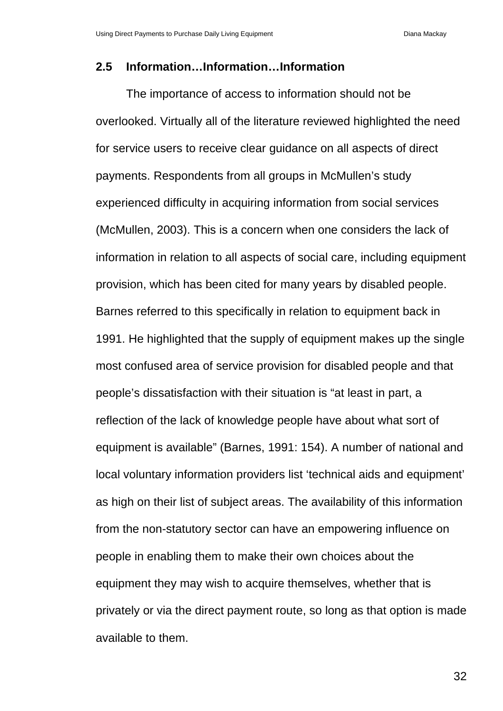### **2.5 Information…Information…Information**

The importance of access to information should not be overlooked. Virtually all of the literature reviewed highlighted the need for service users to receive clear guidance on all aspects of direct payments. Respondents from all groups in McMullen's study experienced difficulty in acquiring information from social services (McMullen, 2003). This is a concern when one considers the lack of information in relation to all aspects of social care, including equipment provision, which has been cited for many years by disabled people. Barnes referred to this specifically in relation to equipment back in 1991. He highlighted that the supply of equipment makes up the single most confused area of service provision for disabled people and that people's dissatisfaction with their situation is "at least in part, a reflection of the lack of knowledge people have about what sort of equipment is available" (Barnes, 1991: 154). A number of national and local voluntary information providers list 'technical aids and equipment' as high on their list of subject areas. The availability of this information from the non-statutory sector can have an empowering influence on people in enabling them to make their own choices about the equipment they may wish to acquire themselves, whether that is privately or via the direct payment route, so long as that option is made available to them.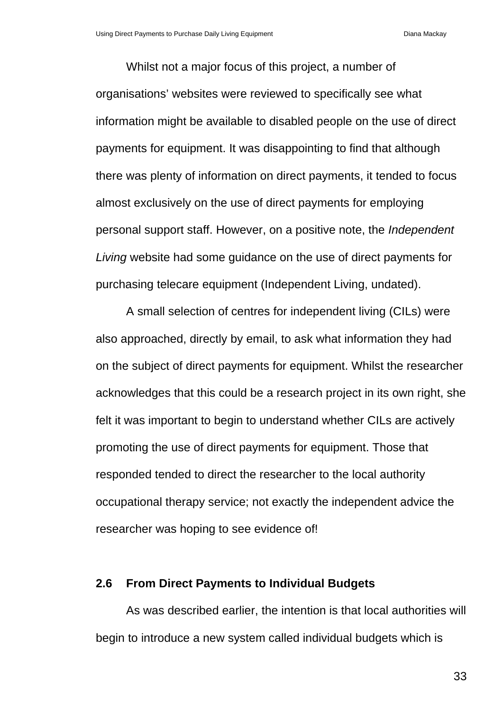Whilst not a major focus of this project, a number of organisations' websites were reviewed to specifically see what information might be available to disabled people on the use of direct payments for equipment. It was disappointing to find that although there was plenty of information on direct payments, it tended to focus almost exclusively on the use of direct payments for employing personal support staff. However, on a positive note, the *Independent Living* website had some guidance on the use of direct payments for purchasing telecare equipment (Independent Living, undated).

A small selection of centres for independent living (CILs) were also approached, directly by email, to ask what information they had on the subject of direct payments for equipment. Whilst the researcher acknowledges that this could be a research project in its own right, she felt it was important to begin to understand whether CILs are actively promoting the use of direct payments for equipment. Those that responded tended to direct the researcher to the local authority occupational therapy service; not exactly the independent advice the researcher was hoping to see evidence of!

### **2.6 From Direct Payments to Individual Budgets**

As was described earlier, the intention is that local authorities will begin to introduce a new system called individual budgets which is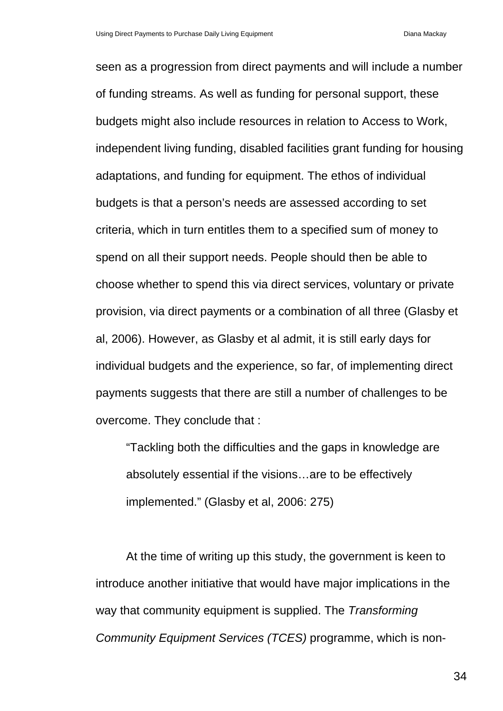seen as a progression from direct payments and will include a number of funding streams. As well as funding for personal support, these budgets might also include resources in relation to Access to Work, independent living funding, disabled facilities grant funding for housing adaptations, and funding for equipment. The ethos of individual budgets is that a person's needs are assessed according to set criteria, which in turn entitles them to a specified sum of money to spend on all their support needs. People should then be able to choose whether to spend this via direct services, voluntary or private provision, via direct payments or a combination of all three (Glasby et al, 2006). However, as Glasby et al admit, it is still early days for individual budgets and the experience, so far, of implementing direct payments suggests that there are still a number of challenges to be overcome. They conclude that :

"Tackling both the difficulties and the gaps in knowledge are absolutely essential if the visions…are to be effectively implemented." (Glasby et al, 2006: 275)

At the time of writing up this study, the government is keen to introduce another initiative that would have major implications in the way that community equipment is supplied. The *Transforming Community Equipment Services (TCES)* programme, which is non-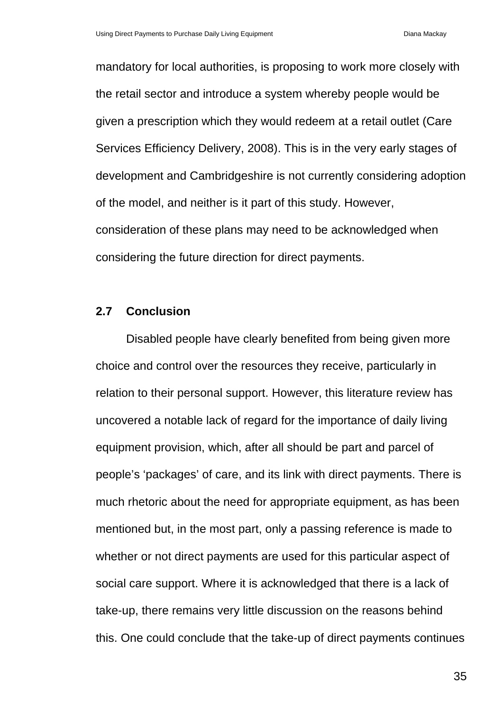mandatory for local authorities, is proposing to work more closely with the retail sector and introduce a system whereby people would be given a prescription which they would redeem at a retail outlet (Care Services Efficiency Delivery, 2008). This is in the very early stages of development and Cambridgeshire is not currently considering adoption of the model, and neither is it part of this study. However, consideration of these plans may need to be acknowledged when considering the future direction for direct payments.

### **2.7 Conclusion**

Disabled people have clearly benefited from being given more choice and control over the resources they receive, particularly in relation to their personal support. However, this literature review has uncovered a notable lack of regard for the importance of daily living equipment provision, which, after all should be part and parcel of people's 'packages' of care, and its link with direct payments. There is much rhetoric about the need for appropriate equipment, as has been mentioned but, in the most part, only a passing reference is made to whether or not direct payments are used for this particular aspect of social care support. Where it is acknowledged that there is a lack of take-up, there remains very little discussion on the reasons behind this. One could conclude that the take-up of direct payments continues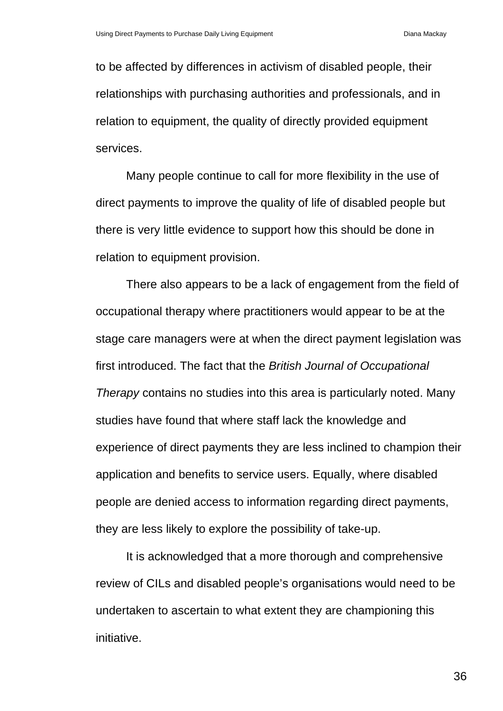to be affected by differences in activism of disabled people, their relationships with purchasing authorities and professionals, and in relation to equipment, the quality of directly provided equipment services.

Many people continue to call for more flexibility in the use of direct payments to improve the quality of life of disabled people but there is very little evidence to support how this should be done in relation to equipment provision.

There also appears to be a lack of engagement from the field of occupational therapy where practitioners would appear to be at the stage care managers were at when the direct payment legislation was first introduced. The fact that the *British Journal of Occupational Therapy* contains no studies into this area is particularly noted. Many studies have found that where staff lack the knowledge and experience of direct payments they are less inclined to champion their application and benefits to service users. Equally, where disabled people are denied access to information regarding direct payments, they are less likely to explore the possibility of take-up.

It is acknowledged that a more thorough and comprehensive review of CILs and disabled people's organisations would need to be undertaken to ascertain to what extent they are championing this initiative.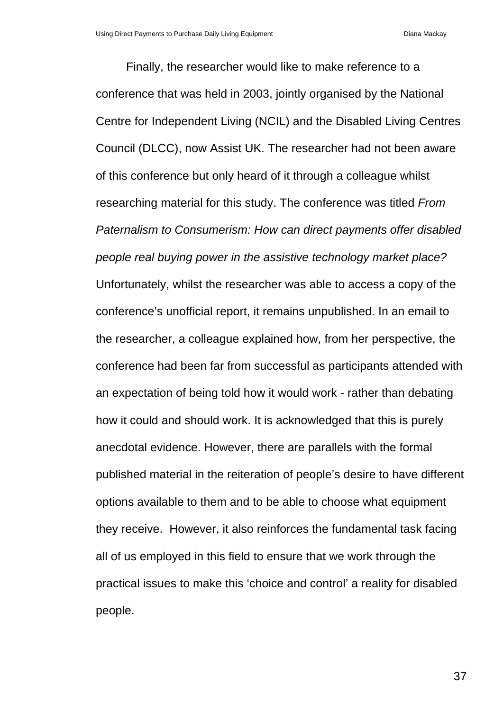Finally, the researcher would like to make reference to a conference that was held in 2003, jointly organised by the National Centre for Independent Living (NCIL) and the Disabled Living Centres Council (DLCC), now Assist UK. The researcher had not been aware of this conference but only heard of it through a colleague whilst researching material for this study. The conference was titled *From Paternalism to Consumerism: How can direct payments offer disabled people real buying power in the assistive technology market place?*  Unfortunately, whilst the researcher was able to access a copy of the conference's unofficial report, it remains unpublished. In an email to the researcher, a colleague explained how, from her perspective, the conference had been far from successful as participants attended with an expectation of being told how it would work - rather than debating how it could and should work. It is acknowledged that this is purely anecdotal evidence. However, there are parallels with the formal published material in the reiteration of people's desire to have different options available to them and to be able to choose what equipment they receive. However, it also reinforces the fundamental task facing all of us employed in this field to ensure that we work through the practical issues to make this 'choice and control' a reality for disabled people.

37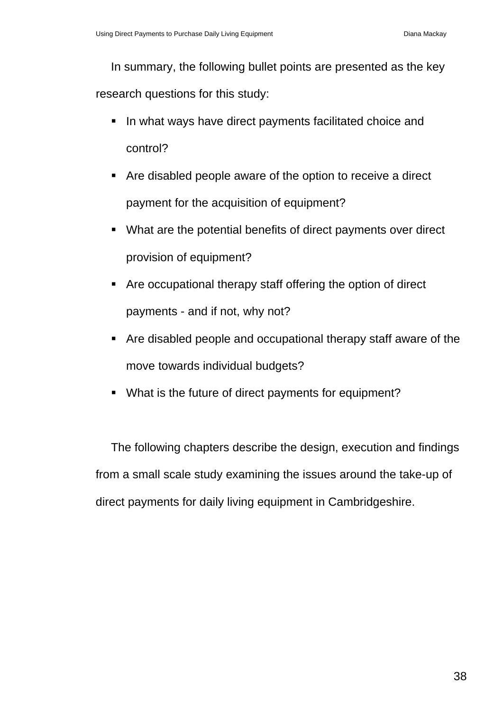In summary, the following bullet points are presented as the key research questions for this study:

- I In what ways have direct payments facilitated choice and control?
- Are disabled people aware of the option to receive a direct payment for the acquisition of equipment?
- What are the potential benefits of direct payments over direct provision of equipment?
- Are occupational therapy staff offering the option of direct payments - and if not, why not?
- Are disabled people and occupational therapy staff aware of the move towards individual budgets?
- What is the future of direct payments for equipment?

The following chapters describe the design, execution and findings from a small scale study examining the issues around the take-up of direct payments for daily living equipment in Cambridgeshire.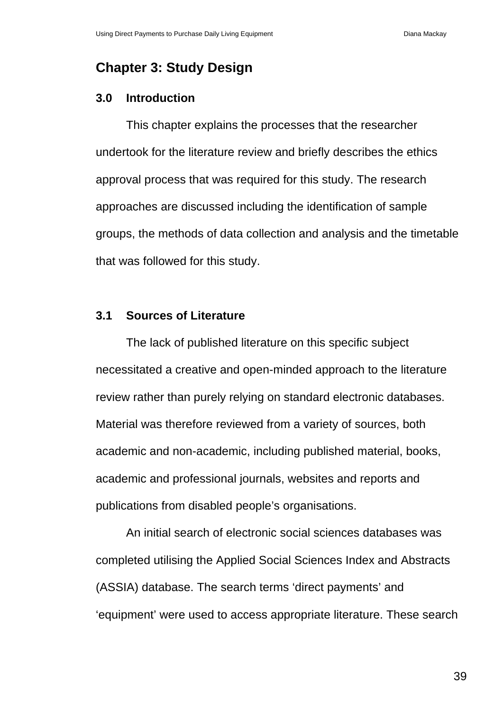# **Chapter 3: Study Design**

### **3.0 Introduction**

This chapter explains the processes that the researcher undertook for the literature review and briefly describes the ethics approval process that was required for this study. The research approaches are discussed including the identification of sample groups, the methods of data collection and analysis and the timetable that was followed for this study.

### **3.1 Sources of Literature**

The lack of published literature on this specific subject necessitated a creative and open-minded approach to the literature review rather than purely relying on standard electronic databases. Material was therefore reviewed from a variety of sources, both academic and non-academic, including published material, books, academic and professional journals, websites and reports and publications from disabled people's organisations.

An initial search of electronic social sciences databases was completed utilising the Applied Social Sciences Index and Abstracts (ASSIA) database. The search terms 'direct payments' and 'equipment' were used to access appropriate literature. These search

39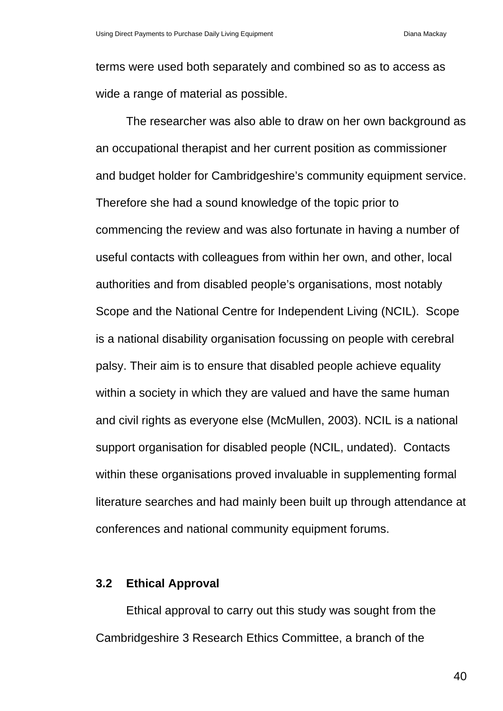terms were used both separately and combined so as to access as wide a range of material as possible.

The researcher was also able to draw on her own background as an occupational therapist and her current position as commissioner and budget holder for Cambridgeshire's community equipment service. Therefore she had a sound knowledge of the topic prior to commencing the review and was also fortunate in having a number of useful contacts with colleagues from within her own, and other, local authorities and from disabled people's organisations, most notably Scope and the National Centre for Independent Living (NCIL). Scope is a national disability organisation focussing on people with cerebral palsy. Their aim is to ensure that disabled people achieve equality within a society in which they are valued and have the same human and civil rights as everyone else (McMullen, 2003). NCIL is a national support organisation for disabled people (NCIL, undated). Contacts within these organisations proved invaluable in supplementing formal literature searches and had mainly been built up through attendance at conferences and national community equipment forums.

#### **3.2 Ethical Approval**

Ethical approval to carry out this study was sought from the Cambridgeshire 3 Research Ethics Committee, a branch of the

40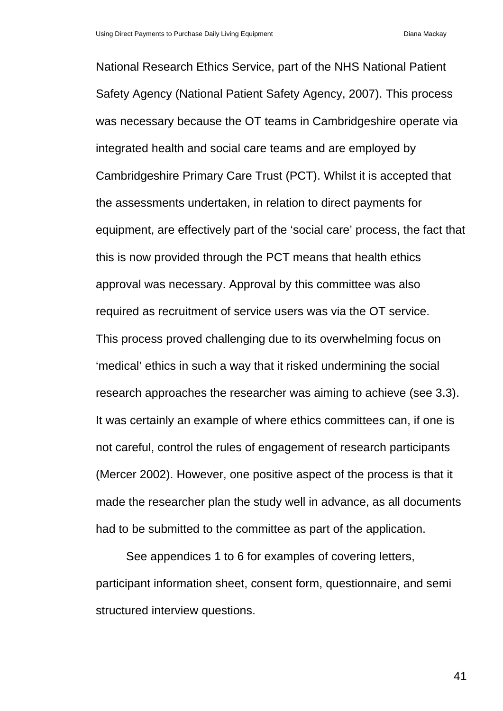National Research Ethics Service, part of the NHS National Patient Safety Agency (National Patient Safety Agency, 2007). This process was necessary because the OT teams in Cambridgeshire operate via integrated health and social care teams and are employed by Cambridgeshire Primary Care Trust (PCT). Whilst it is accepted that the assessments undertaken, in relation to direct payments for equipment, are effectively part of the 'social care' process, the fact that this is now provided through the PCT means that health ethics approval was necessary. Approval by this committee was also required as recruitment of service users was via the OT service. This process proved challenging due to its overwhelming focus on 'medical' ethics in such a way that it risked undermining the social research approaches the researcher was aiming to achieve (see 3.3). It was certainly an example of where ethics committees can, if one is not careful, control the rules of engagement of research participants (Mercer 2002). However, one positive aspect of the process is that it made the researcher plan the study well in advance, as all documents had to be submitted to the committee as part of the application.

See appendices 1 to 6 for examples of covering letters, participant information sheet, consent form, questionnaire, and semi structured interview questions.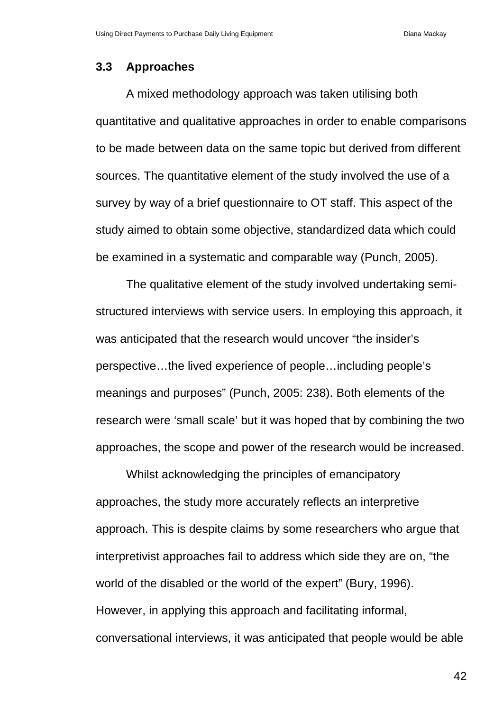### **3.3 Approaches**

A mixed methodology approach was taken utilising both quantitative and qualitative approaches in order to enable comparisons to be made between data on the same topic but derived from different sources. The quantitative element of the study involved the use of a survey by way of a brief questionnaire to OT staff. This aspect of the study aimed to obtain some objective, standardized data which could be examined in a systematic and comparable way (Punch, 2005).

The qualitative element of the study involved undertaking semistructured interviews with service users. In employing this approach, it was anticipated that the research would uncover "the insider's perspective…the lived experience of people…including people's meanings and purposes" (Punch, 2005: 238). Both elements of the research were 'small scale' but it was hoped that by combining the two approaches, the scope and power of the research would be increased.

Whilst acknowledging the principles of emancipatory approaches, the study more accurately reflects an interpretive approach. This is despite claims by some researchers who argue that interpretivist approaches fail to address which side they are on, "the world of the disabled or the world of the expert" (Bury, 1996). However, in applying this approach and facilitating informal, conversational interviews, it was anticipated that people would be able

42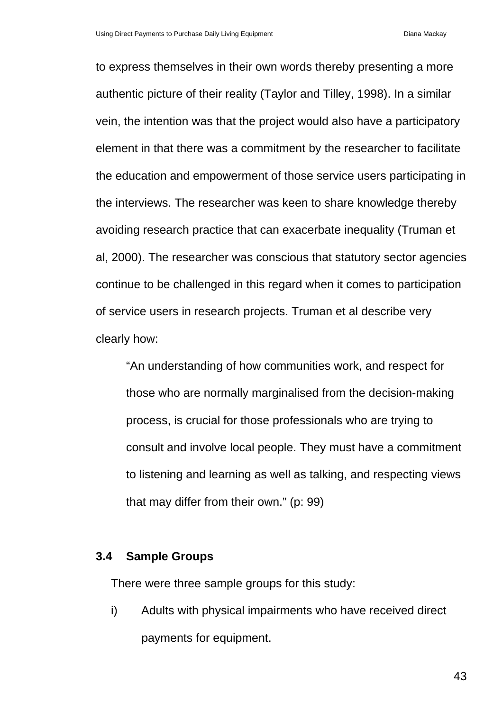to express themselves in their own words thereby presenting a more authentic picture of their reality (Taylor and Tilley, 1998). In a similar vein, the intention was that the project would also have a participatory element in that there was a commitment by the researcher to facilitate the education and empowerment of those service users participating in the interviews. The researcher was keen to share knowledge thereby avoiding research practice that can exacerbate inequality (Truman et al, 2000). The researcher was conscious that statutory sector agencies continue to be challenged in this regard when it comes to participation of service users in research projects. Truman et al describe very clearly how:

"An understanding of how communities work, and respect for those who are normally marginalised from the decision-making process, is crucial for those professionals who are trying to consult and involve local people. They must have a commitment to listening and learning as well as talking, and respecting views that may differ from their own." (p: 99)

### **3.4 Sample Groups**

There were three sample groups for this study:

i) Adults with physical impairments who have received direct payments for equipment.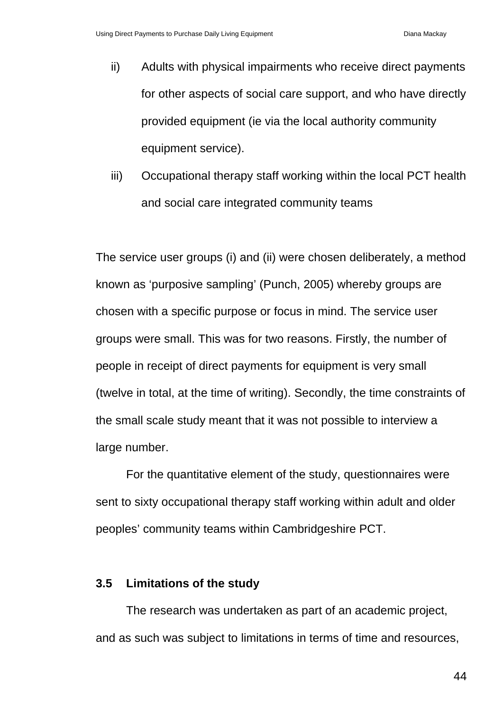- ii) Adults with physical impairments who receive direct payments for other aspects of social care support, and who have directly provided equipment (ie via the local authority community equipment service).
- iii) Occupational therapy staff working within the local PCT health and social care integrated community teams

The service user groups (i) and (ii) were chosen deliberately, a method known as 'purposive sampling' (Punch, 2005) whereby groups are chosen with a specific purpose or focus in mind. The service user groups were small. This was for two reasons. Firstly, the number of people in receipt of direct payments for equipment is very small (twelve in total, at the time of writing). Secondly, the time constraints of the small scale study meant that it was not possible to interview a large number.

For the quantitative element of the study, questionnaires were sent to sixty occupational therapy staff working within adult and older peoples' community teams within Cambridgeshire PCT.

### **3.5 Limitations of the study**

The research was undertaken as part of an academic project, and as such was subject to limitations in terms of time and resources,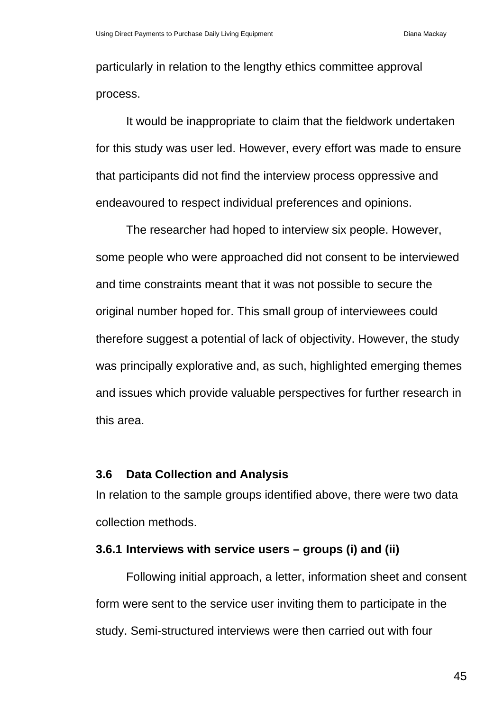particularly in relation to the lengthy ethics committee approval process.

It would be inappropriate to claim that the fieldwork undertaken for this study was user led. However, every effort was made to ensure that participants did not find the interview process oppressive and endeavoured to respect individual preferences and opinions.

The researcher had hoped to interview six people. However, some people who were approached did not consent to be interviewed and time constraints meant that it was not possible to secure the original number hoped for. This small group of interviewees could therefore suggest a potential of lack of objectivity. However, the study was principally explorative and, as such, highlighted emerging themes and issues which provide valuable perspectives for further research in this area.

# **3.6 Data Collection and Analysis**

In relation to the sample groups identified above, there were two data collection methods.

# **3.6.1 Interviews with service users – groups (i) and (ii)**

Following initial approach, a letter, information sheet and consent form were sent to the service user inviting them to participate in the study. Semi-structured interviews were then carried out with four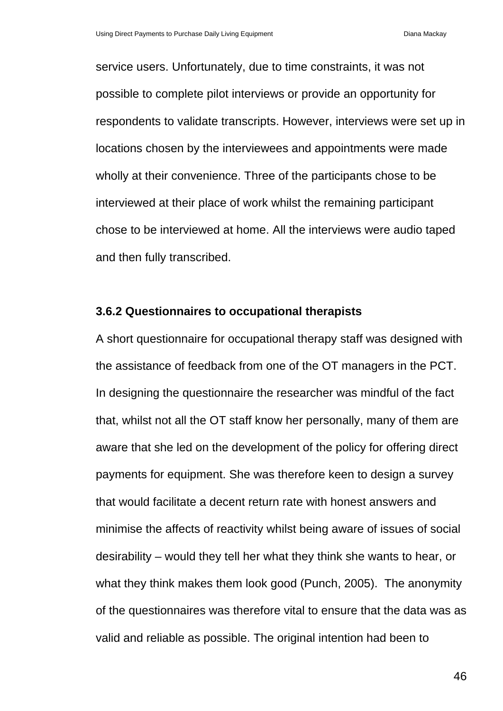service users. Unfortunately, due to time constraints, it was not possible to complete pilot interviews or provide an opportunity for respondents to validate transcripts. However, interviews were set up in locations chosen by the interviewees and appointments were made wholly at their convenience. Three of the participants chose to be interviewed at their place of work whilst the remaining participant chose to be interviewed at home. All the interviews were audio taped and then fully transcribed.

#### **3.6.2 Questionnaires to occupational therapists**

A short questionnaire for occupational therapy staff was designed with the assistance of feedback from one of the OT managers in the PCT. In designing the questionnaire the researcher was mindful of the fact that, whilst not all the OT staff know her personally, many of them are aware that she led on the development of the policy for offering direct payments for equipment. She was therefore keen to design a survey that would facilitate a decent return rate with honest answers and minimise the affects of reactivity whilst being aware of issues of social desirability – would they tell her what they think she wants to hear, or what they think makes them look good (Punch, 2005). The anonymity of the questionnaires was therefore vital to ensure that the data was as valid and reliable as possible. The original intention had been to

46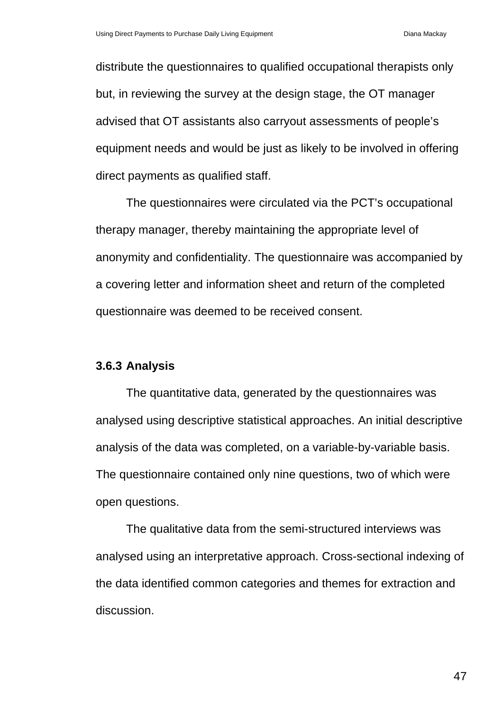distribute the questionnaires to qualified occupational therapists only but, in reviewing the survey at the design stage, the OT manager advised that OT assistants also carryout assessments of people's equipment needs and would be just as likely to be involved in offering direct payments as qualified staff.

The questionnaires were circulated via the PCT's occupational therapy manager, thereby maintaining the appropriate level of anonymity and confidentiality. The questionnaire was accompanied by a covering letter and information sheet and return of the completed questionnaire was deemed to be received consent.

#### **3.6.3 Analysis**

The quantitative data, generated by the questionnaires was analysed using descriptive statistical approaches. An initial descriptive analysis of the data was completed, on a variable-by-variable basis. The questionnaire contained only nine questions, two of which were open questions.

The qualitative data from the semi-structured interviews was analysed using an interpretative approach. Cross-sectional indexing of the data identified common categories and themes for extraction and discussion.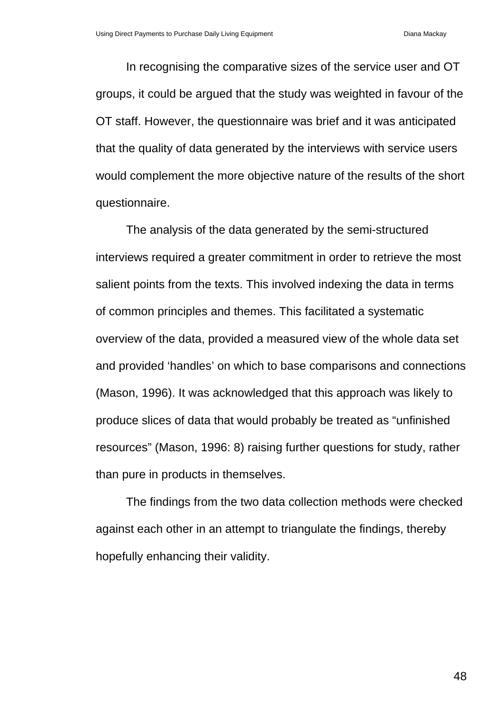In recognising the comparative sizes of the service user and OT groups, it could be argued that the study was weighted in favour of the OT staff. However, the questionnaire was brief and it was anticipated that the quality of data generated by the interviews with service users would complement the more objective nature of the results of the short questionnaire.

The analysis of the data generated by the semi-structured interviews required a greater commitment in order to retrieve the most salient points from the texts. This involved indexing the data in terms of common principles and themes. This facilitated a systematic overview of the data, provided a measured view of the whole data set and provided 'handles' on which to base comparisons and connections (Mason, 1996). It was acknowledged that this approach was likely to produce slices of data that would probably be treated as "unfinished resources" (Mason, 1996: 8) raising further questions for study, rather than pure in products in themselves.

The findings from the two data collection methods were checked against each other in an attempt to triangulate the findings, thereby hopefully enhancing their validity.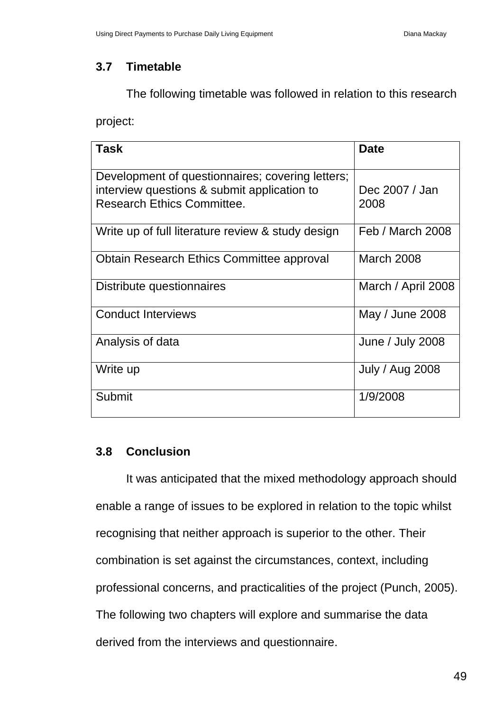# **3.7 Timetable**

The following timetable was followed in relation to this research

project:

| <b>Task</b>                                                                                                                          | <b>Date</b>             |
|--------------------------------------------------------------------------------------------------------------------------------------|-------------------------|
| Development of questionnaires; covering letters;<br>interview questions & submit application to<br><b>Research Ethics Committee.</b> | Dec 2007 / Jan<br>2008  |
| Write up of full literature review & study design                                                                                    | <b>Feb / March 2008</b> |
| Obtain Research Ethics Committee approval                                                                                            | <b>March 2008</b>       |
| Distribute questionnaires                                                                                                            | March / April 2008      |
| <b>Conduct Interviews</b>                                                                                                            | May / June 2008         |
| Analysis of data                                                                                                                     | June / July 2008        |
| Write up                                                                                                                             | July / Aug 2008         |
| Submit                                                                                                                               | 1/9/2008                |

# **3.8 Conclusion**

It was anticipated that the mixed methodology approach should enable a range of issues to be explored in relation to the topic whilst recognising that neither approach is superior to the other. Their combination is set against the circumstances, context, including professional concerns, and practicalities of the project (Punch, 2005). The following two chapters will explore and summarise the data derived from the interviews and questionnaire.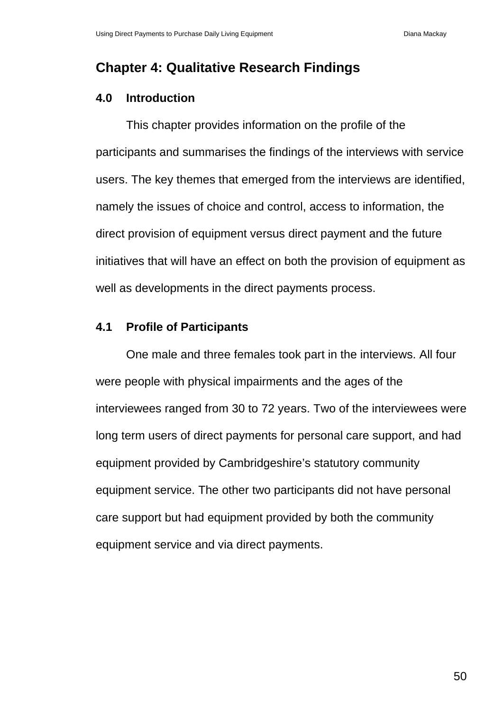# **Chapter 4: Qualitative Research Findings**

# **4.0 Introduction**

This chapter provides information on the profile of the participants and summarises the findings of the interviews with service users. The key themes that emerged from the interviews are identified, namely the issues of choice and control, access to information, the direct provision of equipment versus direct payment and the future initiatives that will have an effect on both the provision of equipment as well as developments in the direct payments process.

# **4.1 Profile of Participants**

One male and three females took part in the interviews. All four were people with physical impairments and the ages of the interviewees ranged from 30 to 72 years. Two of the interviewees were long term users of direct payments for personal care support, and had equipment provided by Cambridgeshire's statutory community equipment service. The other two participants did not have personal care support but had equipment provided by both the community equipment service and via direct payments.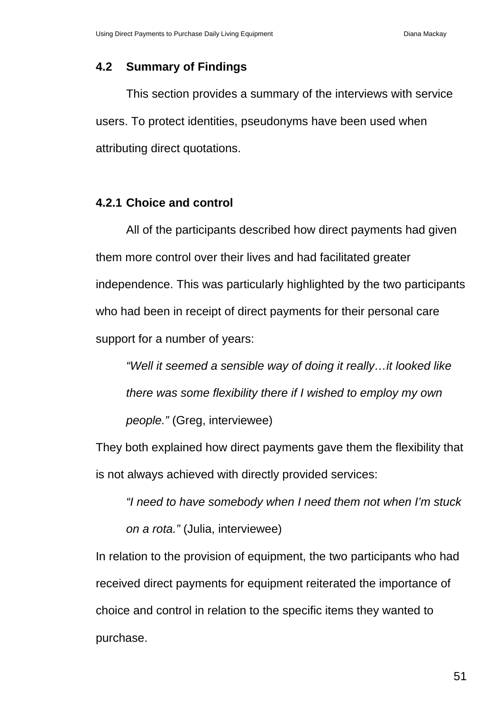# **4.2 Summary of Findings**

This section provides a summary of the interviews with service users. To protect identities, pseudonyms have been used when attributing direct quotations.

# **4.2.1 Choice and control**

All of the participants described how direct payments had given them more control over their lives and had facilitated greater independence. This was particularly highlighted by the two participants who had been in receipt of direct payments for their personal care support for a number of years:

*"Well it seemed a sensible way of doing it really…it looked like there was some flexibility there if I wished to employ my own people."* (Greg, interviewee)

They both explained how direct payments gave them the flexibility that is not always achieved with directly provided services:

*"I need to have somebody when I need them not when I'm stuck on a rota."* (Julia, interviewee)

In relation to the provision of equipment, the two participants who had received direct payments for equipment reiterated the importance of choice and control in relation to the specific items they wanted to purchase.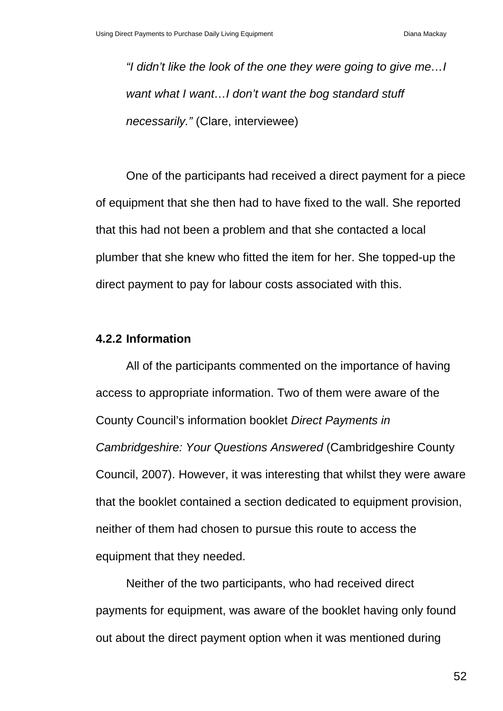*"I didn't like the look of the one they were going to give me…I want what I want…I don't want the bog standard stuff necessarily."* (Clare, interviewee)

One of the participants had received a direct payment for a piece of equipment that she then had to have fixed to the wall. She reported that this had not been a problem and that she contacted a local plumber that she knew who fitted the item for her. She topped-up the direct payment to pay for labour costs associated with this.

### **4.2.2 Information**

All of the participants commented on the importance of having access to appropriate information. Two of them were aware of the County Council's information booklet *Direct Payments in Cambridgeshire: Your Questions Answered* (Cambridgeshire County Council, 2007). However, it was interesting that whilst they were aware that the booklet contained a section dedicated to equipment provision, neither of them had chosen to pursue this route to access the equipment that they needed.

Neither of the two participants, who had received direct payments for equipment, was aware of the booklet having only found out about the direct payment option when it was mentioned during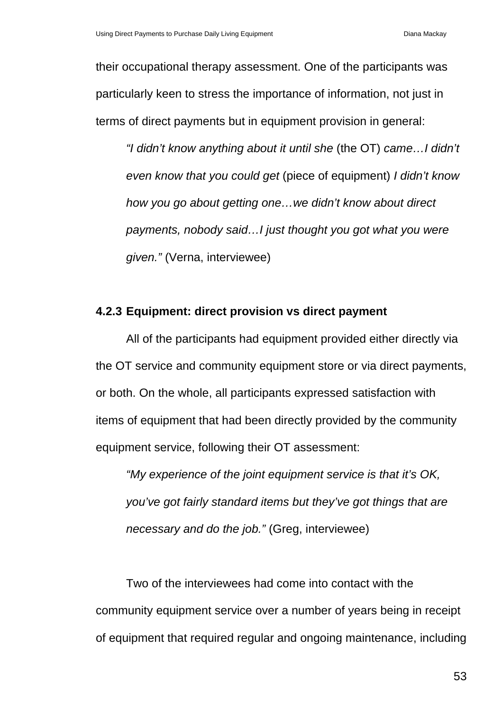their occupational therapy assessment. One of the participants was particularly keen to stress the importance of information, not just in terms of direct payments but in equipment provision in general:

*"I didn't know anything about it until she* (the OT) *came…I didn't even know that you could get* (piece of equipment) *I didn't know how you go about getting one…we didn't know about direct payments, nobody said…I just thought you got what you were given."* (Verna, interviewee)

### **4.2.3 Equipment: direct provision vs direct payment**

All of the participants had equipment provided either directly via the OT service and community equipment store or via direct payments, or both. On the whole, all participants expressed satisfaction with items of equipment that had been directly provided by the community equipment service, following their OT assessment:

*"My experience of the joint equipment service is that it's OK, you've got fairly standard items but they've got things that are necessary and do the job."* (Greg, interviewee)

Two of the interviewees had come into contact with the community equipment service over a number of years being in receipt of equipment that required regular and ongoing maintenance, including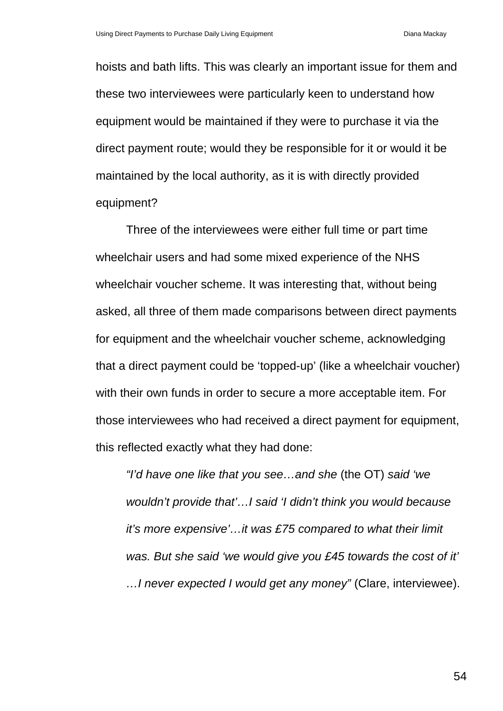hoists and bath lifts. This was clearly an important issue for them and these two interviewees were particularly keen to understand how equipment would be maintained if they were to purchase it via the direct payment route; would they be responsible for it or would it be maintained by the local authority, as it is with directly provided equipment?

Three of the interviewees were either full time or part time wheelchair users and had some mixed experience of the NHS wheelchair voucher scheme. It was interesting that, without being asked, all three of them made comparisons between direct payments for equipment and the wheelchair voucher scheme, acknowledging that a direct payment could be 'topped-up' (like a wheelchair voucher) with their own funds in order to secure a more acceptable item. For those interviewees who had received a direct payment for equipment, this reflected exactly what they had done:

*"I'd have one like that you see…and she* (the OT) *said 'we wouldn't provide that'…I said 'I didn't think you would because it's more expensive'…it was £75 compared to what their limit was. But she said 'we would give you £45 towards the cost of it' …I never expected I would get any money"* (Clare, interviewee).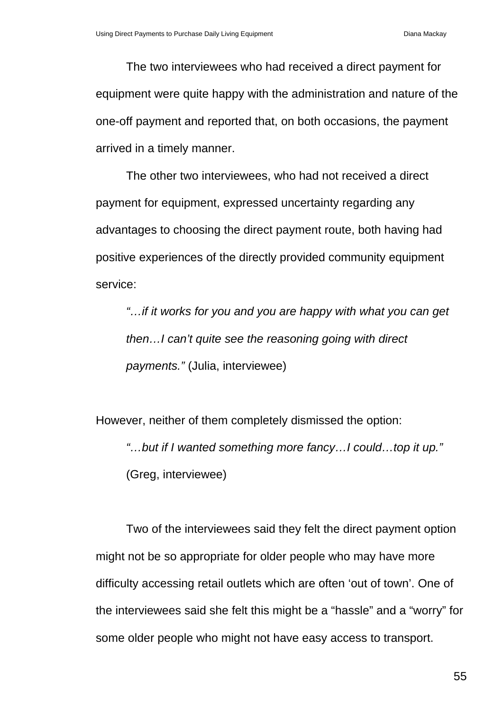The two interviewees who had received a direct payment for equipment were quite happy with the administration and nature of the one-off payment and reported that, on both occasions, the payment arrived in a timely manner.

The other two interviewees, who had not received a direct payment for equipment, expressed uncertainty regarding any advantages to choosing the direct payment route, both having had positive experiences of the directly provided community equipment service:

*"…if it works for you and you are happy with what you can get then…I can't quite see the reasoning going with direct payments."* (Julia, interviewee)

However, neither of them completely dismissed the option: *"…but if I wanted something more fancy…I could…top it up."* (Greg, interviewee)

Two of the interviewees said they felt the direct payment option might not be so appropriate for older people who may have more difficulty accessing retail outlets which are often 'out of town'. One of the interviewees said she felt this might be a "hassle" and a "worry" for some older people who might not have easy access to transport.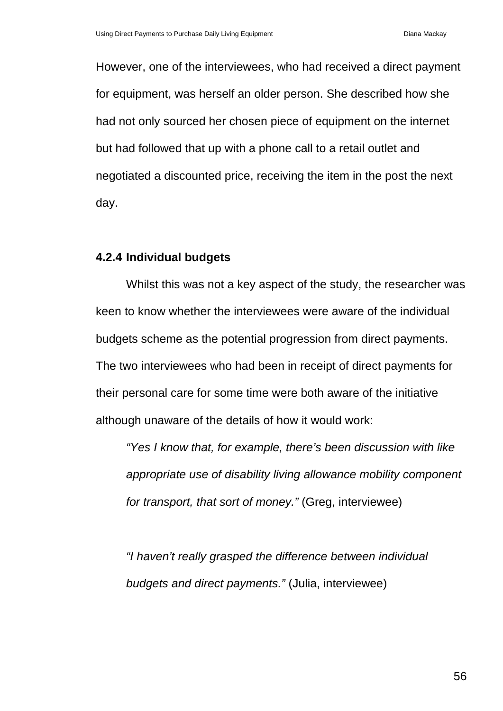However, one of the interviewees, who had received a direct payment for equipment, was herself an older person. She described how she had not only sourced her chosen piece of equipment on the internet but had followed that up with a phone call to a retail outlet and negotiated a discounted price, receiving the item in the post the next day.

### **4.2.4 Individual budgets**

Whilst this was not a key aspect of the study, the researcher was keen to know whether the interviewees were aware of the individual budgets scheme as the potential progression from direct payments. The two interviewees who had been in receipt of direct payments for their personal care for some time were both aware of the initiative although unaware of the details of how it would work:

*"Yes I know that, for example, there's been discussion with like appropriate use of disability living allowance mobility component for transport, that sort of money."* (Greg, interviewee)

*"I haven't really grasped the difference between individual budgets and direct payments."* (Julia, interviewee)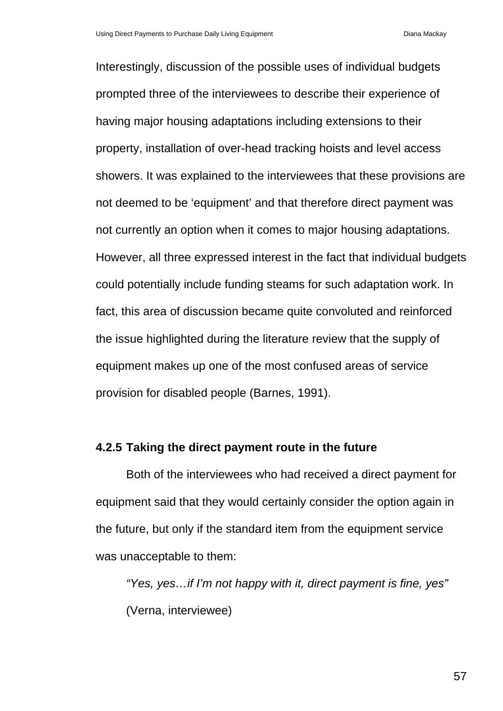Interestingly, discussion of the possible uses of individual budgets prompted three of the interviewees to describe their experience of having major housing adaptations including extensions to their property, installation of over-head tracking hoists and level access showers. It was explained to the interviewees that these provisions are not deemed to be 'equipment' and that therefore direct payment was not currently an option when it comes to major housing adaptations. However, all three expressed interest in the fact that individual budgets could potentially include funding steams for such adaptation work. In fact, this area of discussion became quite convoluted and reinforced the issue highlighted during the literature review that the supply of equipment makes up one of the most confused areas of service provision for disabled people (Barnes, 1991).

### **4.2.5 Taking the direct payment route in the future**

Both of the interviewees who had received a direct payment for equipment said that they would certainly consider the option again in the future, but only if the standard item from the equipment service was unacceptable to them:

*"Yes, yes…if I'm not happy with it, direct payment is fine, yes"* (Verna, interviewee)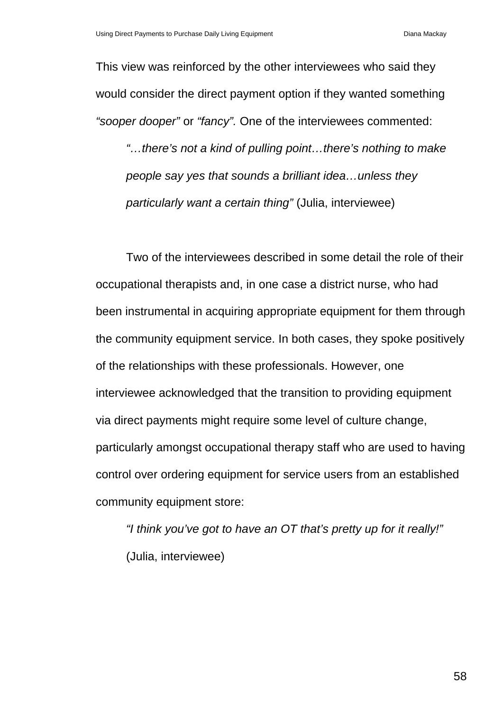This view was reinforced by the other interviewees who said they would consider the direct payment option if they wanted something *"sooper dooper"* or *"fancy".* One of the interviewees commented:

*"…there's not a kind of pulling point…there's nothing to make people say yes that sounds a brilliant idea…unless they particularly want a certain thing"* (Julia, interviewee)

Two of the interviewees described in some detail the role of their occupational therapists and, in one case a district nurse, who had been instrumental in acquiring appropriate equipment for them through the community equipment service. In both cases, they spoke positively of the relationships with these professionals. However, one interviewee acknowledged that the transition to providing equipment via direct payments might require some level of culture change, particularly amongst occupational therapy staff who are used to having control over ordering equipment for service users from an established community equipment store:

*"I think you've got to have an OT that's pretty up for it really!"* (Julia, interviewee)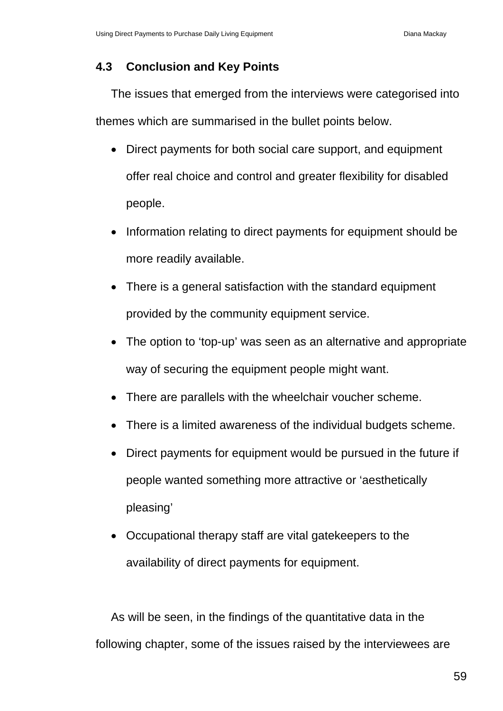### **4.3 Conclusion and Key Points**

The issues that emerged from the interviews were categorised into themes which are summarised in the bullet points below.

- Direct payments for both social care support, and equipment offer real choice and control and greater flexibility for disabled people.
- Information relating to direct payments for equipment should be more readily available.
- There is a general satisfaction with the standard equipment provided by the community equipment service.
- The option to 'top-up' was seen as an alternative and appropriate way of securing the equipment people might want.
- There are parallels with the wheelchair voucher scheme.
- There is a limited awareness of the individual budgets scheme.
- Direct payments for equipment would be pursued in the future if people wanted something more attractive or 'aesthetically pleasing'
- Occupational therapy staff are vital gatekeepers to the availability of direct payments for equipment.

As will be seen, in the findings of the quantitative data in the following chapter, some of the issues raised by the interviewees are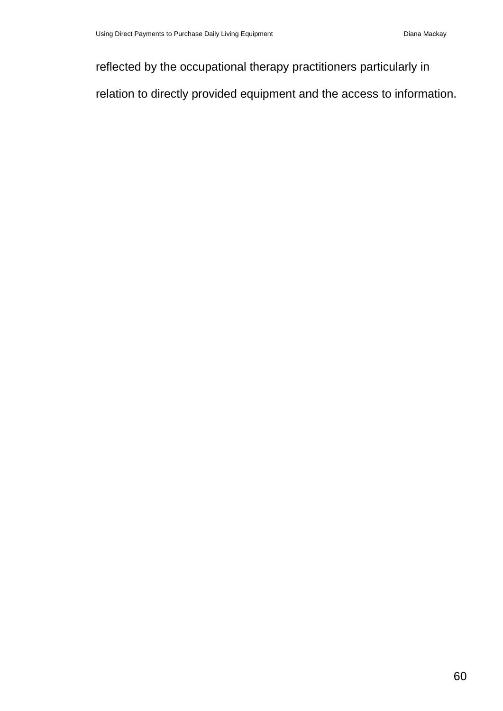reflected by the occupational therapy practitioners particularly in

relation to directly provided equipment and the access to information.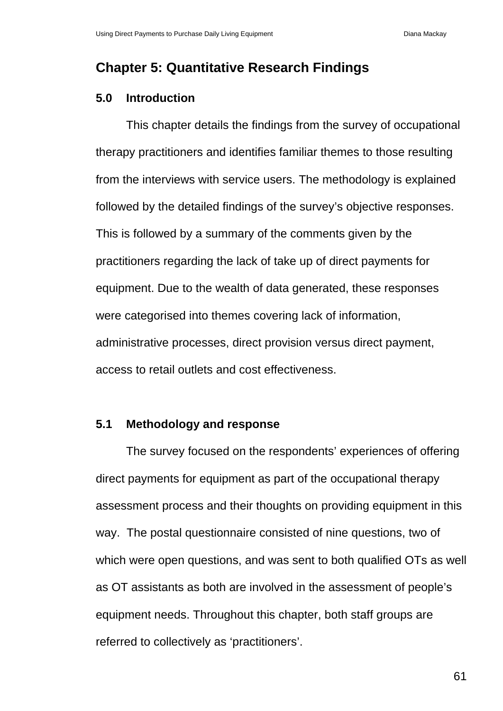# **Chapter 5: Quantitative Research Findings**

# **5.0 Introduction**

This chapter details the findings from the survey of occupational therapy practitioners and identifies familiar themes to those resulting from the interviews with service users. The methodology is explained followed by the detailed findings of the survey's objective responses. This is followed by a summary of the comments given by the practitioners regarding the lack of take up of direct payments for equipment. Due to the wealth of data generated, these responses were categorised into themes covering lack of information, administrative processes, direct provision versus direct payment, access to retail outlets and cost effectiveness.

### **5.1 Methodology and response**

The survey focused on the respondents' experiences of offering direct payments for equipment as part of the occupational therapy assessment process and their thoughts on providing equipment in this way. The postal questionnaire consisted of nine questions, two of which were open questions, and was sent to both qualified OTs as well as OT assistants as both are involved in the assessment of people's equipment needs. Throughout this chapter, both staff groups are referred to collectively as 'practitioners'.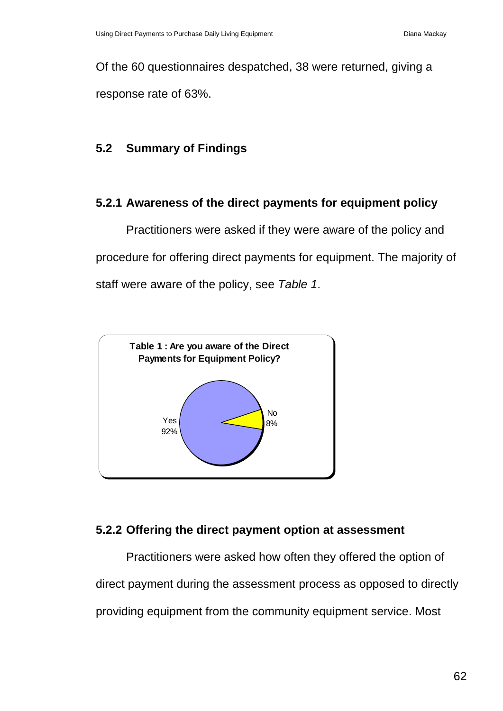Of the 60 questionnaires despatched, 38 were returned, giving a response rate of 63%.

# **5.2 Summary of Findings**

# **5.2.1 Awareness of the direct payments for equipment policy**

Practitioners were asked if they were aware of the policy and procedure for offering direct payments for equipment. The majority of staff were aware of the policy, see *Table 1*.



# **5.2.2 Offering the direct payment option at assessment**

Practitioners were asked how often they offered the option of direct payment during the assessment process as opposed to directly providing equipment from the community equipment service. Most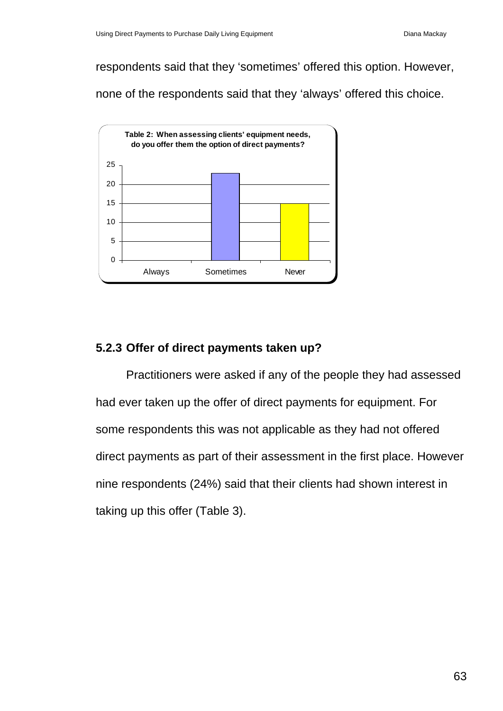respondents said that they 'sometimes' offered this option. However,

none of the respondents said that they 'always' offered this choice.



# **5.2.3 Offer of direct payments taken up?**

Practitioners were asked if any of the people they had assessed had ever taken up the offer of direct payments for equipment. For some respondents this was not applicable as they had not offered direct payments as part of their assessment in the first place. However nine respondents (24%) said that their clients had shown interest in taking up this offer (Table 3).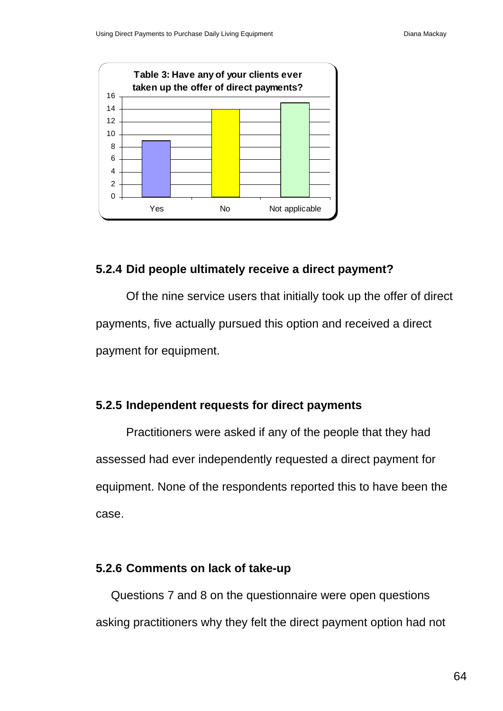

### **5.2.4 Did people ultimately receive a direct payment?**

Of the nine service users that initially took up the offer of direct payments, five actually pursued this option and received a direct payment for equipment.

## **5.2.5 Independent requests for direct payments**

Practitioners were asked if any of the people that they had assessed had ever independently requested a direct payment for equipment. None of the respondents reported this to have been the case.

### **5.2.6 Comments on lack of take-up**

Questions 7 and 8 on the questionnaire were open questions asking practitioners why they felt the direct payment option had not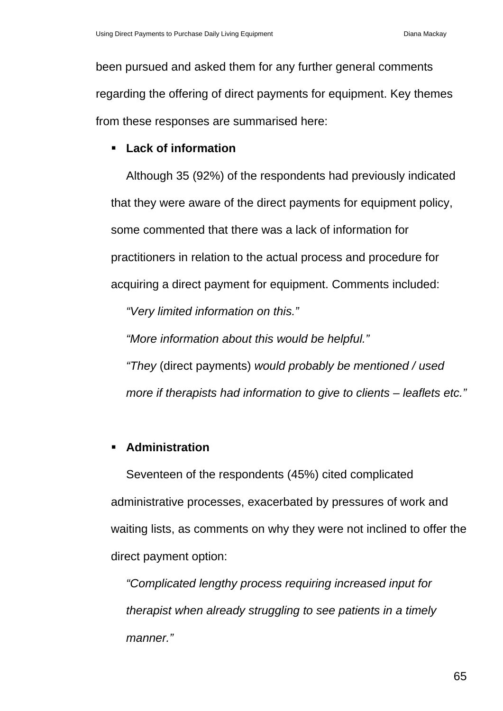been pursued and asked them for any further general comments regarding the offering of direct payments for equipment. Key themes from these responses are summarised here:

### **Lack of information**

Although 35 (92%) of the respondents had previously indicated that they were aware of the direct payments for equipment policy, some commented that there was a lack of information for practitioners in relation to the actual process and procedure for acquiring a direct payment for equipment. Comments included:

*"Very limited information on this."* 

*"More information about this would be helpful."* 

*"They* (direct payments) *would probably be mentioned / used more if therapists had information to give to clients – leaflets etc."* 

### **Administration**

Seventeen of the respondents (45%) cited complicated administrative processes, exacerbated by pressures of work and waiting lists, as comments on why they were not inclined to offer the direct payment option:

*"Complicated lengthy process requiring increased input for therapist when already struggling to see patients in a timely manner."*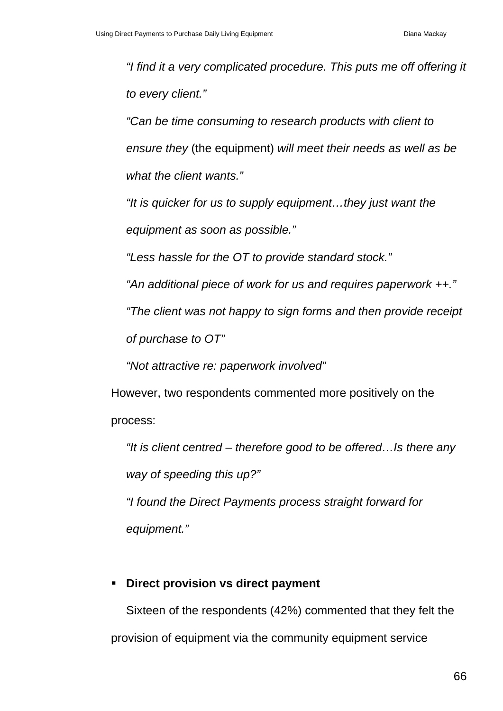*"I find it a very complicated procedure. This puts me off offering it to every client."* 

*"Can be time consuming to research products with client to ensure they* (the equipment) *will meet their needs as well as be what the client wants."* 

*"It is quicker for us to supply equipment…they just want the equipment as soon as possible."* 

*"Less hassle for the OT to provide standard stock."* 

*"An additional piece of work for us and requires paperwork ++."* 

*"The client was not happy to sign forms and then provide receipt* 

*of purchase to OT"* 

*"Not attractive re: paperwork involved"* 

However, two respondents commented more positively on the process:

*"It is client centred – therefore good to be offered…Is there any way of speeding this up?"* 

*"I found the Direct Payments process straight forward for equipment."* 

# **Direct provision vs direct payment**

Sixteen of the respondents (42%) commented that they felt the provision of equipment via the community equipment service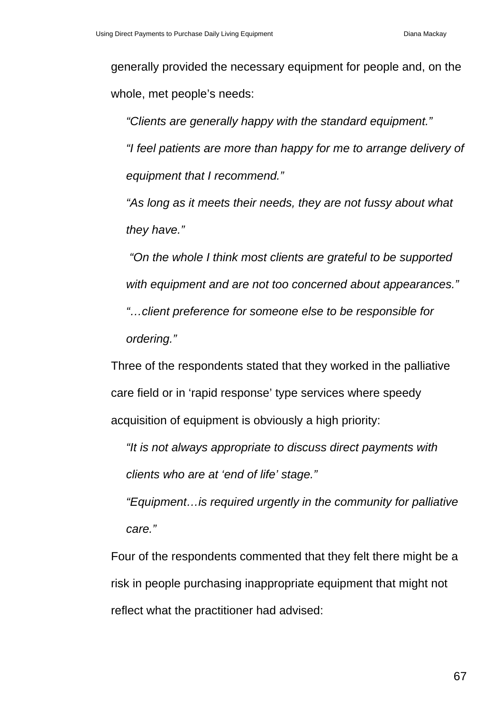generally provided the necessary equipment for people and, on the whole, met people's needs:

*"Clients are generally happy with the standard equipment." "I feel patients are more than happy for me to arrange delivery of equipment that I recommend."* 

*"As long as it meets their needs, they are not fussy about what they have."* 

 *"On the whole I think most clients are grateful to be supported with equipment and are not too concerned about appearances."* 

*"…client preference for someone else to be responsible for ordering."* 

Three of the respondents stated that they worked in the palliative care field or in 'rapid response' type services where speedy acquisition of equipment is obviously a high priority:

*"It is not always appropriate to discuss direct payments with clients who are at 'end of life' stage."* 

*"Equipment…is required urgently in the community for palliative care."* 

Four of the respondents commented that they felt there might be a risk in people purchasing inappropriate equipment that might not reflect what the practitioner had advised: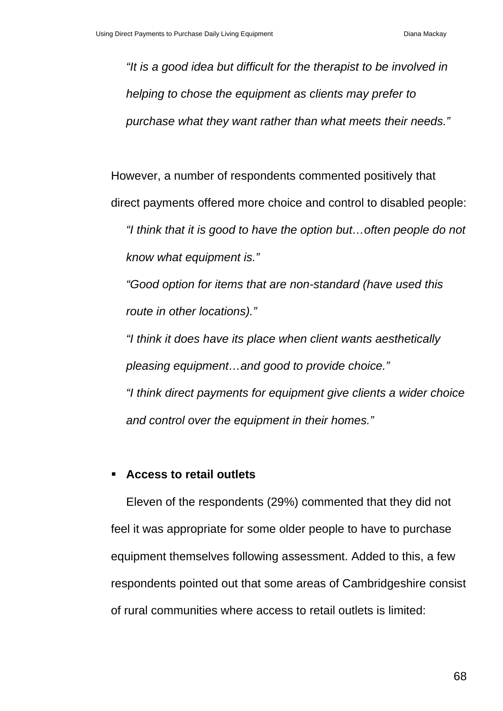*"It is a good idea but difficult for the therapist to be involved in helping to chose the equipment as clients may prefer to purchase what they want rather than what meets their needs."* 

However, a number of respondents commented positively that

direct payments offered more choice and control to disabled people:

*"I think that it is good to have the option but…often people do not know what equipment is."* 

*"Good option for items that are non-standard (have used this route in other locations)."* 

*"I think it does have its place when client wants aesthetically pleasing equipment…and good to provide choice."* 

*"I think direct payments for equipment give clients a wider choice and control over the equipment in their homes."* 

# **Access to retail outlets**

Eleven of the respondents (29%) commented that they did not feel it was appropriate for some older people to have to purchase equipment themselves following assessment. Added to this, a few respondents pointed out that some areas of Cambridgeshire consist of rural communities where access to retail outlets is limited: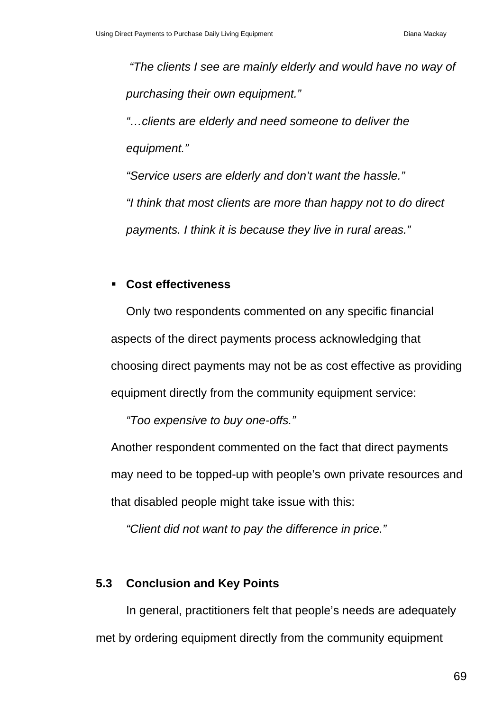*"The clients I see are mainly elderly and would have no way of purchasing their own equipment."* 

*"…clients are elderly and need someone to deliver the equipment."* 

*"Service users are elderly and don't want the hassle."* 

*"I think that most clients are more than happy not to do direct payments. I think it is because they live in rural areas."* 

### **Cost effectiveness**

Only two respondents commented on any specific financial aspects of the direct payments process acknowledging that choosing direct payments may not be as cost effective as providing equipment directly from the community equipment service:

*"Too expensive to buy one-offs."* 

Another respondent commented on the fact that direct payments may need to be topped-up with people's own private resources and that disabled people might take issue with this:

*"Client did not want to pay the difference in price."* 

# **5.3 Conclusion and Key Points**

In general, practitioners felt that people's needs are adequately met by ordering equipment directly from the community equipment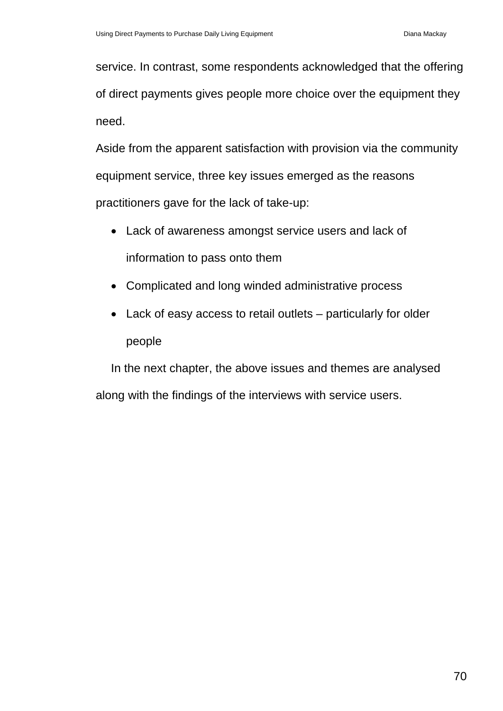service. In contrast, some respondents acknowledged that the offering of direct payments gives people more choice over the equipment they need.

Aside from the apparent satisfaction with provision via the community equipment service, three key issues emerged as the reasons practitioners gave for the lack of take-up:

- Lack of awareness amongst service users and lack of information to pass onto them
- Complicated and long winded administrative process
- Lack of easy access to retail outlets particularly for older people

In the next chapter, the above issues and themes are analysed along with the findings of the interviews with service users.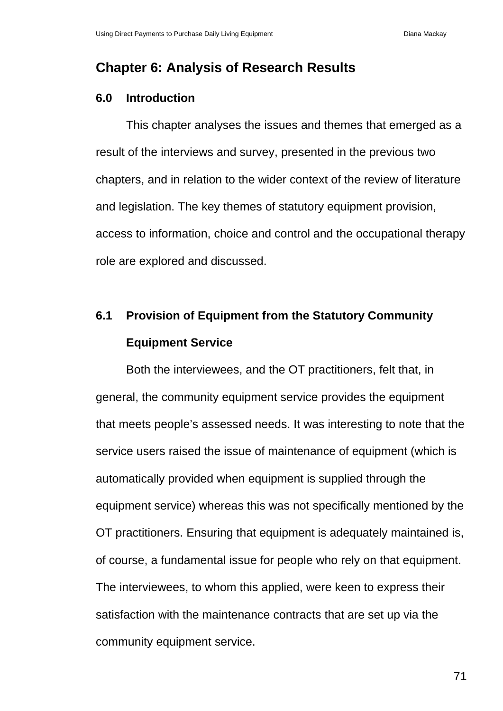# **Chapter 6: Analysis of Research Results**

# **6.0 Introduction**

This chapter analyses the issues and themes that emerged as a result of the interviews and survey, presented in the previous two chapters, and in relation to the wider context of the review of literature and legislation. The key themes of statutory equipment provision, access to information, choice and control and the occupational therapy role are explored and discussed.

# **6.1 Provision of Equipment from the Statutory Community Equipment Service**

Both the interviewees, and the OT practitioners, felt that, in general, the community equipment service provides the equipment that meets people's assessed needs. It was interesting to note that the service users raised the issue of maintenance of equipment (which is automatically provided when equipment is supplied through the equipment service) whereas this was not specifically mentioned by the OT practitioners. Ensuring that equipment is adequately maintained is, of course, a fundamental issue for people who rely on that equipment. The interviewees, to whom this applied, were keen to express their satisfaction with the maintenance contracts that are set up via the community equipment service.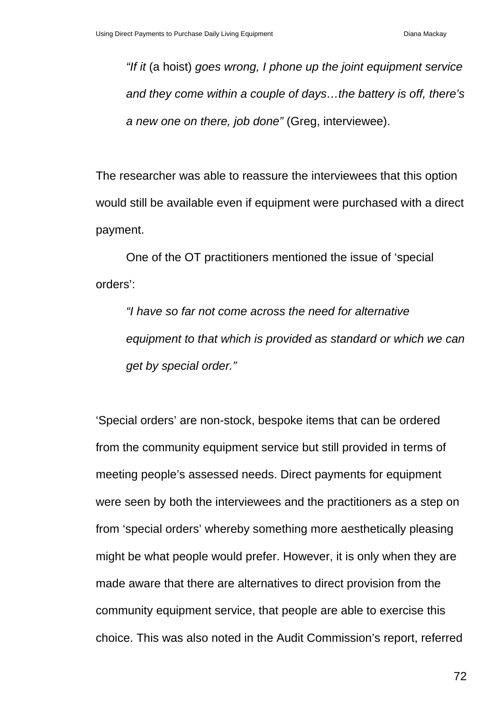*"If it* (a hoist) *goes wrong, I phone up the joint equipment service and they come within a couple of days…the battery is off, there's a new one on there, job done"* (Greg, interviewee).

The researcher was able to reassure the interviewees that this option would still be available even if equipment were purchased with a direct payment.

One of the OT practitioners mentioned the issue of 'special orders':

*"I have so far not come across the need for alternative equipment to that which is provided as standard or which we can get by special order."* 

'Special orders' are non-stock, bespoke items that can be ordered from the community equipment service but still provided in terms of meeting people's assessed needs. Direct payments for equipment were seen by both the interviewees and the practitioners as a step on from 'special orders' whereby something more aesthetically pleasing might be what people would prefer. However, it is only when they are made aware that there are alternatives to direct provision from the community equipment service, that people are able to exercise this choice. This was also noted in the Audit Commission's report, referred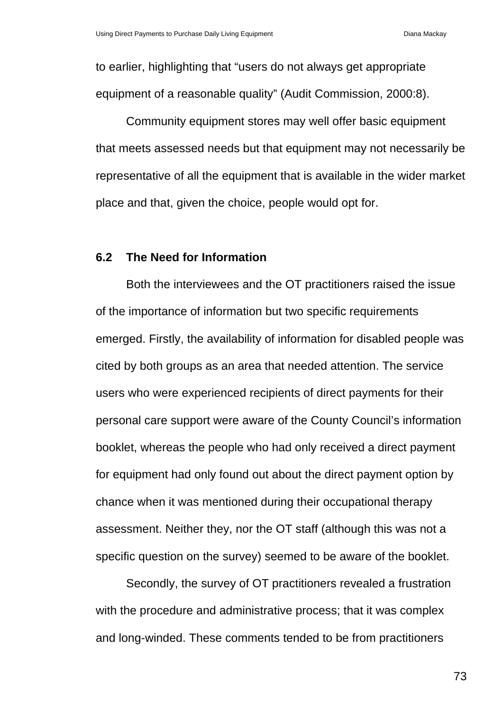to earlier, highlighting that "users do not always get appropriate equipment of a reasonable quality" (Audit Commission, 2000:8).

Community equipment stores may well offer basic equipment that meets assessed needs but that equipment may not necessarily be representative of all the equipment that is available in the wider market place and that, given the choice, people would opt for.

#### **6.2 The Need for Information**

Both the interviewees and the OT practitioners raised the issue of the importance of information but two specific requirements emerged. Firstly, the availability of information for disabled people was cited by both groups as an area that needed attention. The service users who were experienced recipients of direct payments for their personal care support were aware of the County Council's information booklet, whereas the people who had only received a direct payment for equipment had only found out about the direct payment option by chance when it was mentioned during their occupational therapy assessment. Neither they, nor the OT staff (although this was not a specific question on the survey) seemed to be aware of the booklet.

Secondly, the survey of OT practitioners revealed a frustration with the procedure and administrative process; that it was complex and long-winded. These comments tended to be from practitioners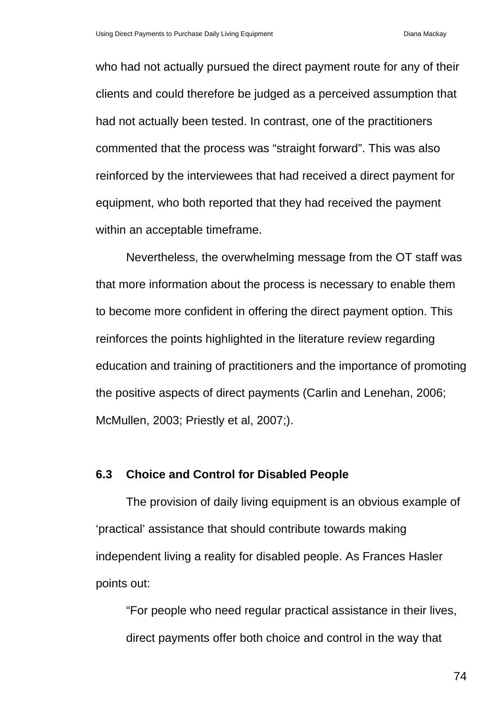who had not actually pursued the direct payment route for any of their clients and could therefore be judged as a perceived assumption that had not actually been tested. In contrast, one of the practitioners commented that the process was "straight forward". This was also reinforced by the interviewees that had received a direct payment for equipment, who both reported that they had received the payment within an acceptable timeframe.

Nevertheless, the overwhelming message from the OT staff was that more information about the process is necessary to enable them to become more confident in offering the direct payment option. This reinforces the points highlighted in the literature review regarding education and training of practitioners and the importance of promoting the positive aspects of direct payments (Carlin and Lenehan, 2006; McMullen, 2003; Priestly et al, 2007;).

#### **6.3 Choice and Control for Disabled People**

The provision of daily living equipment is an obvious example of 'practical' assistance that should contribute towards making independent living a reality for disabled people. As Frances Hasler points out:

"For people who need regular practical assistance in their lives, direct payments offer both choice and control in the way that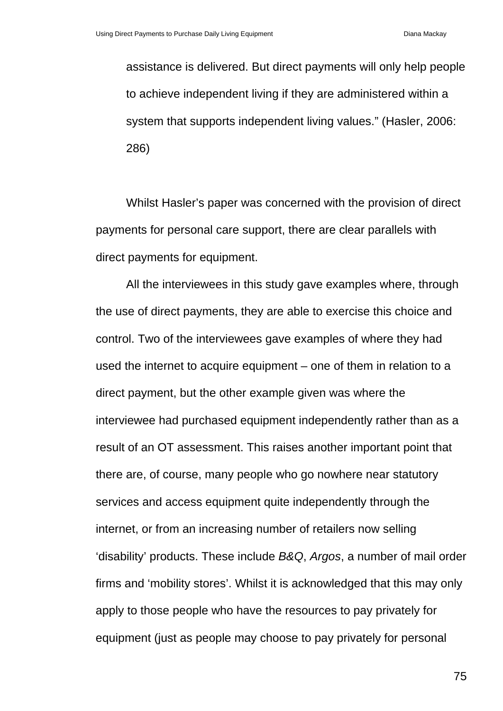assistance is delivered. But direct payments will only help people to achieve independent living if they are administered within a system that supports independent living values." (Hasler, 2006: 286)

Whilst Hasler's paper was concerned with the provision of direct payments for personal care support, there are clear parallels with direct payments for equipment.

All the interviewees in this study gave examples where, through the use of direct payments, they are able to exercise this choice and control. Two of the interviewees gave examples of where they had used the internet to acquire equipment – one of them in relation to a direct payment, but the other example given was where the interviewee had purchased equipment independently rather than as a result of an OT assessment. This raises another important point that there are, of course, many people who go nowhere near statutory services and access equipment quite independently through the internet, or from an increasing number of retailers now selling 'disability' products. These include *B&Q*, *Argos*, a number of mail order firms and 'mobility stores'. Whilst it is acknowledged that this may only apply to those people who have the resources to pay privately for equipment (just as people may choose to pay privately for personal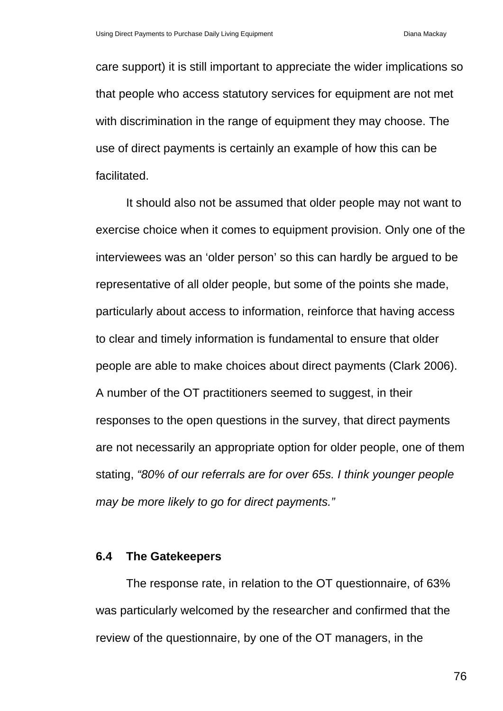care support) it is still important to appreciate the wider implications so that people who access statutory services for equipment are not met with discrimination in the range of equipment they may choose. The use of direct payments is certainly an example of how this can be facilitated.

It should also not be assumed that older people may not want to exercise choice when it comes to equipment provision. Only one of the interviewees was an 'older person' so this can hardly be argued to be representative of all older people, but some of the points she made, particularly about access to information, reinforce that having access to clear and timely information is fundamental to ensure that older people are able to make choices about direct payments (Clark 2006). A number of the OT practitioners seemed to suggest, in their responses to the open questions in the survey, that direct payments are not necessarily an appropriate option for older people, one of them stating, *"80% of our referrals are for over 65s. I think younger people may be more likely to go for direct payments."*

#### **6.4 The Gatekeepers**

The response rate, in relation to the OT questionnaire, of 63% was particularly welcomed by the researcher and confirmed that the review of the questionnaire, by one of the OT managers, in the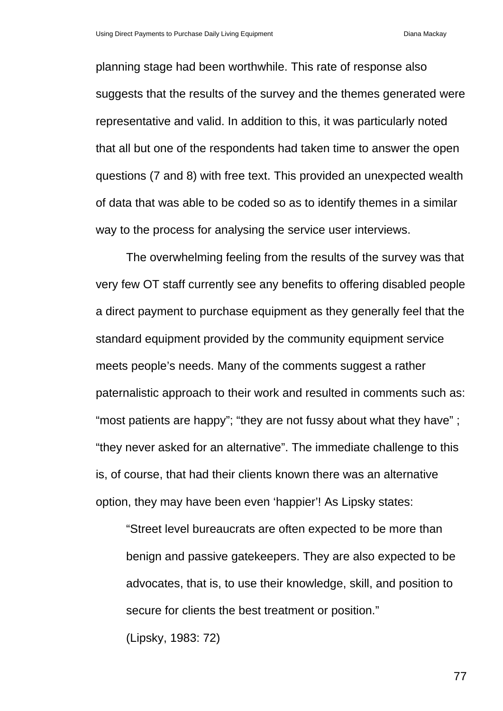planning stage had been worthwhile. This rate of response also suggests that the results of the survey and the themes generated were representative and valid. In addition to this, it was particularly noted that all but one of the respondents had taken time to answer the open questions (7 and 8) with free text. This provided an unexpected wealth of data that was able to be coded so as to identify themes in a similar way to the process for analysing the service user interviews.

The overwhelming feeling from the results of the survey was that very few OT staff currently see any benefits to offering disabled people a direct payment to purchase equipment as they generally feel that the standard equipment provided by the community equipment service meets people's needs. Many of the comments suggest a rather paternalistic approach to their work and resulted in comments such as: "most patients are happy"; "they are not fussy about what they have"; "they never asked for an alternative". The immediate challenge to this is, of course, that had their clients known there was an alternative option, they may have been even 'happier'! As Lipsky states:

"Street level bureaucrats are often expected to be more than benign and passive gatekeepers. They are also expected to be advocates, that is, to use their knowledge, skill, and position to secure for clients the best treatment or position." (Lipsky, 1983: 72)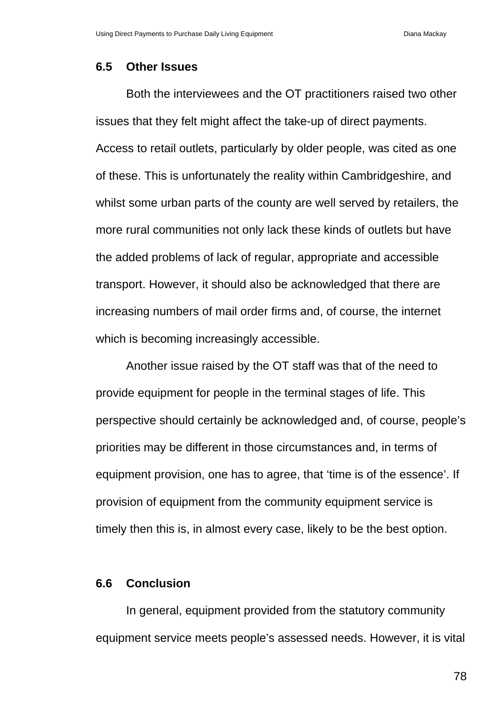#### **6.5 Other Issues**

Both the interviewees and the OT practitioners raised two other issues that they felt might affect the take-up of direct payments. Access to retail outlets, particularly by older people, was cited as one of these. This is unfortunately the reality within Cambridgeshire, and whilst some urban parts of the county are well served by retailers, the more rural communities not only lack these kinds of outlets but have the added problems of lack of regular, appropriate and accessible transport. However, it should also be acknowledged that there are increasing numbers of mail order firms and, of course, the internet which is becoming increasingly accessible.

Another issue raised by the OT staff was that of the need to provide equipment for people in the terminal stages of life. This perspective should certainly be acknowledged and, of course, people's priorities may be different in those circumstances and, in terms of equipment provision, one has to agree, that 'time is of the essence'. If provision of equipment from the community equipment service is timely then this is, in almost every case, likely to be the best option.

#### **6.6 Conclusion**

In general, equipment provided from the statutory community equipment service meets people's assessed needs. However, it is vital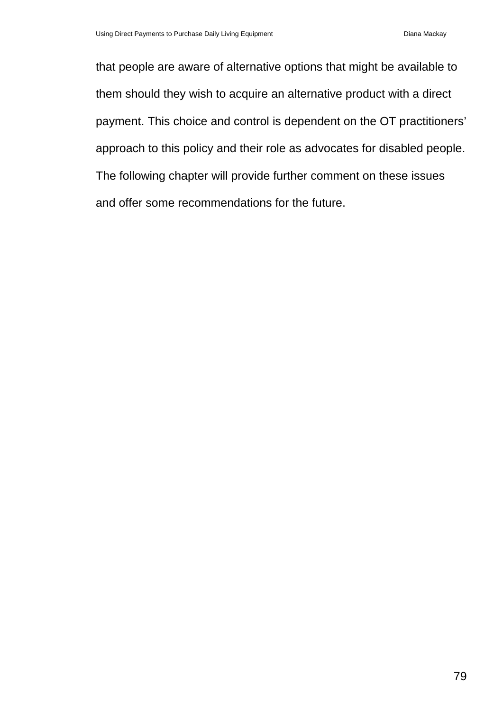that people are aware of alternative options that might be available to them should they wish to acquire an alternative product with a direct payment. This choice and control is dependent on the OT practitioners' approach to this policy and their role as advocates for disabled people. The following chapter will provide further comment on these issues and offer some recommendations for the future.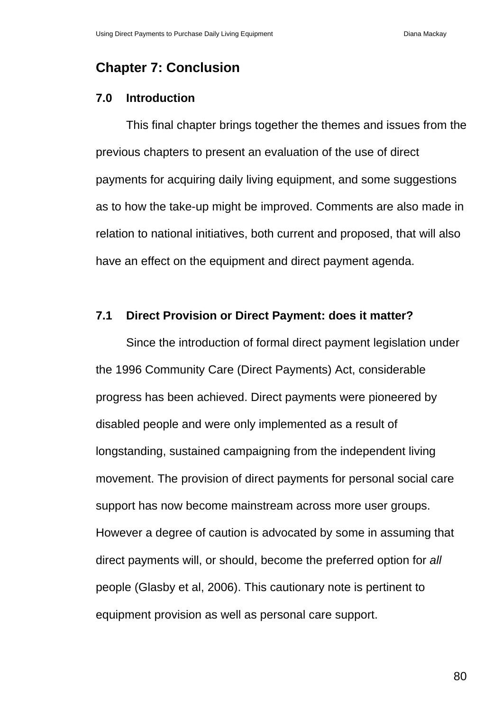# **Chapter 7: Conclusion**

#### **7.0 Introduction**

This final chapter brings together the themes and issues from the previous chapters to present an evaluation of the use of direct payments for acquiring daily living equipment, and some suggestions as to how the take-up might be improved. Comments are also made in relation to national initiatives, both current and proposed, that will also have an effect on the equipment and direct payment agenda.

#### **7.1 Direct Provision or Direct Payment: does it matter?**

Since the introduction of formal direct payment legislation under the 1996 Community Care (Direct Payments) Act, considerable progress has been achieved. Direct payments were pioneered by disabled people and were only implemented as a result of longstanding, sustained campaigning from the independent living movement. The provision of direct payments for personal social care support has now become mainstream across more user groups. However a degree of caution is advocated by some in assuming that direct payments will, or should, become the preferred option for *all*  people (Glasby et al, 2006). This cautionary note is pertinent to equipment provision as well as personal care support.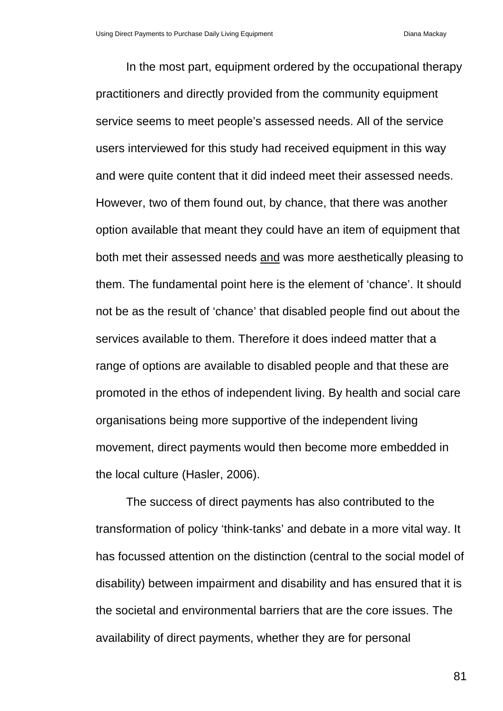In the most part, equipment ordered by the occupational therapy practitioners and directly provided from the community equipment service seems to meet people's assessed needs. All of the service users interviewed for this study had received equipment in this way and were quite content that it did indeed meet their assessed needs. However, two of them found out, by chance, that there was another option available that meant they could have an item of equipment that both met their assessed needs and was more aesthetically pleasing to them. The fundamental point here is the element of 'chance'. It should not be as the result of 'chance' that disabled people find out about the services available to them. Therefore it does indeed matter that a range of options are available to disabled people and that these are promoted in the ethos of independent living. By health and social care organisations being more supportive of the independent living movement, direct payments would then become more embedded in the local culture (Hasler, 2006).

The success of direct payments has also contributed to the transformation of policy 'think-tanks' and debate in a more vital way. It has focussed attention on the distinction (central to the social model of disability) between impairment and disability and has ensured that it is the societal and environmental barriers that are the core issues. The availability of direct payments, whether they are for personal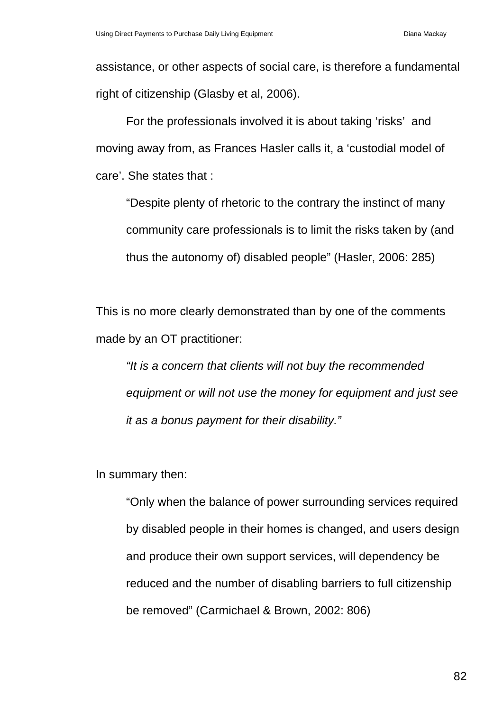assistance, or other aspects of social care, is therefore a fundamental right of citizenship (Glasby et al, 2006).

For the professionals involved it is about taking 'risks' and moving away from, as Frances Hasler calls it, a 'custodial model of care'. She states that :

"Despite plenty of rhetoric to the contrary the instinct of many community care professionals is to limit the risks taken by (and thus the autonomy of) disabled people" (Hasler, 2006: 285)

This is no more clearly demonstrated than by one of the comments made by an OT practitioner:

*"It is a concern that clients will not buy the recommended equipment or will not use the money for equipment and just see it as a bonus payment for their disability."* 

In summary then:

"Only when the balance of power surrounding services required by disabled people in their homes is changed, and users design and produce their own support services, will dependency be reduced and the number of disabling barriers to full citizenship be removed" (Carmichael & Brown, 2002: 806)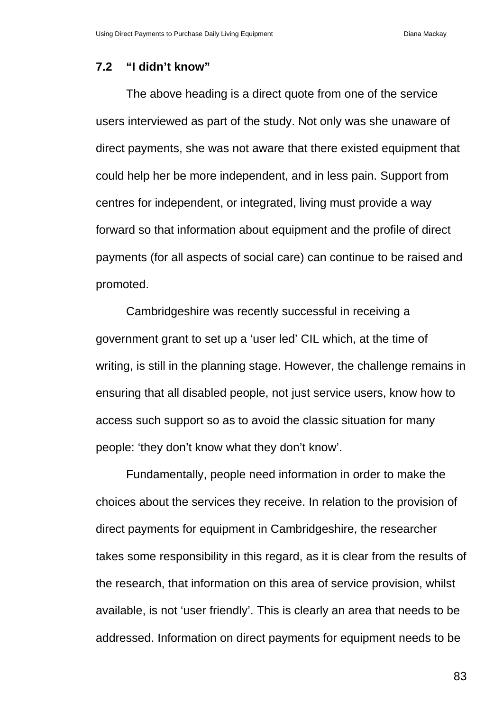#### **7.2 "I didn't know"**

The above heading is a direct quote from one of the service users interviewed as part of the study. Not only was she unaware of direct payments, she was not aware that there existed equipment that could help her be more independent, and in less pain. Support from centres for independent, or integrated, living must provide a way forward so that information about equipment and the profile of direct payments (for all aspects of social care) can continue to be raised and promoted.

Cambridgeshire was recently successful in receiving a government grant to set up a 'user led' CIL which, at the time of writing, is still in the planning stage. However, the challenge remains in ensuring that all disabled people, not just service users, know how to access such support so as to avoid the classic situation for many people: 'they don't know what they don't know'.

Fundamentally, people need information in order to make the choices about the services they receive. In relation to the provision of direct payments for equipment in Cambridgeshire, the researcher takes some responsibility in this regard, as it is clear from the results of the research, that information on this area of service provision, whilst available, is not 'user friendly'. This is clearly an area that needs to be addressed. Information on direct payments for equipment needs to be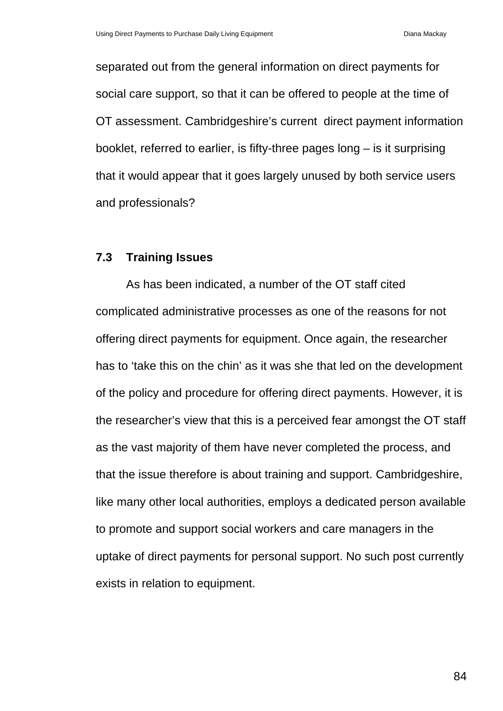separated out from the general information on direct payments for social care support, so that it can be offered to people at the time of OT assessment. Cambridgeshire's current direct payment information booklet, referred to earlier, is fifty-three pages long – is it surprising that it would appear that it goes largely unused by both service users and professionals?

#### **7.3 Training Issues**

As has been indicated, a number of the OT staff cited complicated administrative processes as one of the reasons for not offering direct payments for equipment. Once again, the researcher has to 'take this on the chin' as it was she that led on the development of the policy and procedure for offering direct payments. However, it is the researcher's view that this is a perceived fear amongst the OT staff as the vast majority of them have never completed the process, and that the issue therefore is about training and support. Cambridgeshire, like many other local authorities, employs a dedicated person available to promote and support social workers and care managers in the uptake of direct payments for personal support. No such post currently exists in relation to equipment.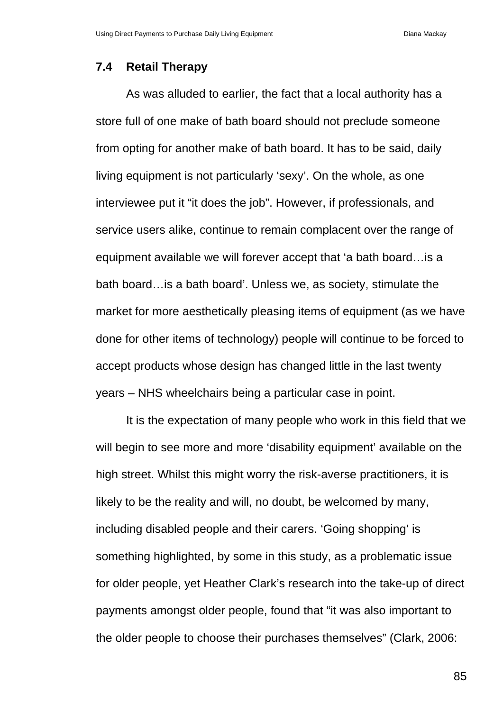#### **7.4 Retail Therapy**

As was alluded to earlier, the fact that a local authority has a store full of one make of bath board should not preclude someone from opting for another make of bath board. It has to be said, daily living equipment is not particularly 'sexy'. On the whole, as one interviewee put it "it does the job". However, if professionals, and service users alike, continue to remain complacent over the range of equipment available we will forever accept that 'a bath board…is a bath board…is a bath board'. Unless we, as society, stimulate the market for more aesthetically pleasing items of equipment (as we have done for other items of technology) people will continue to be forced to accept products whose design has changed little in the last twenty years – NHS wheelchairs being a particular case in point.

It is the expectation of many people who work in this field that we will begin to see more and more 'disability equipment' available on the high street. Whilst this might worry the risk-averse practitioners, it is likely to be the reality and will, no doubt, be welcomed by many, including disabled people and their carers. 'Going shopping' is something highlighted, by some in this study, as a problematic issue for older people, yet Heather Clark's research into the take-up of direct payments amongst older people, found that "it was also important to the older people to choose their purchases themselves" (Clark, 2006: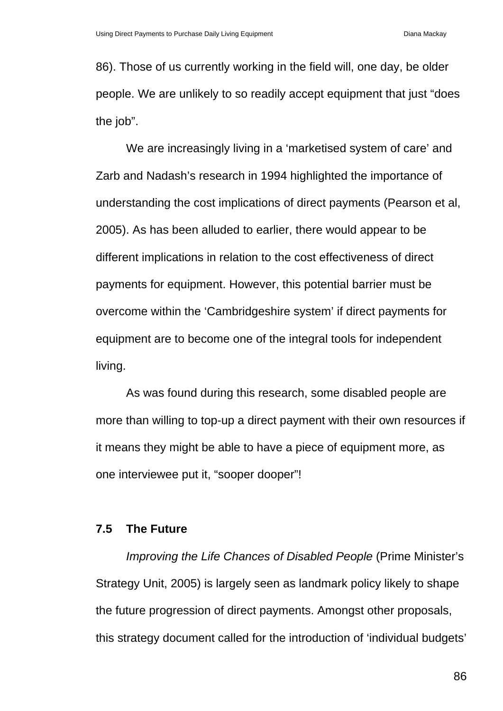86). Those of us currently working in the field will, one day, be older people. We are unlikely to so readily accept equipment that just "does the job".

We are increasingly living in a 'marketised system of care' and Zarb and Nadash's research in 1994 highlighted the importance of understanding the cost implications of direct payments (Pearson et al, 2005). As has been alluded to earlier, there would appear to be different implications in relation to the cost effectiveness of direct payments for equipment. However, this potential barrier must be overcome within the 'Cambridgeshire system' if direct payments for equipment are to become one of the integral tools for independent living.

As was found during this research, some disabled people are more than willing to top-up a direct payment with their own resources if it means they might be able to have a piece of equipment more, as one interviewee put it, "sooper dooper"!

#### **7.5 The Future**

*Improving the Life Chances of Disabled People* (Prime Minister's Strategy Unit, 2005) is largely seen as landmark policy likely to shape the future progression of direct payments. Amongst other proposals, this strategy document called for the introduction of 'individual budgets'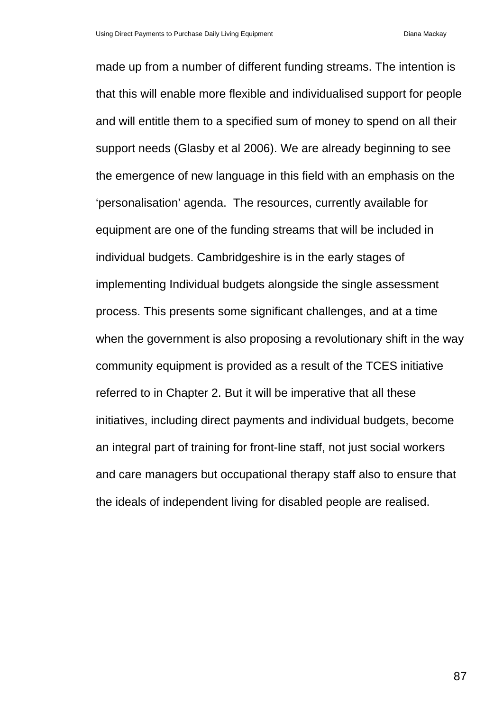made up from a number of different funding streams. The intention is that this will enable more flexible and individualised support for people and will entitle them to a specified sum of money to spend on all their support needs (Glasby et al 2006). We are already beginning to see the emergence of new language in this field with an emphasis on the 'personalisation' agenda. The resources, currently available for equipment are one of the funding streams that will be included in individual budgets. Cambridgeshire is in the early stages of implementing Individual budgets alongside the single assessment process. This presents some significant challenges, and at a time when the government is also proposing a revolutionary shift in the way community equipment is provided as a result of the TCES initiative referred to in Chapter 2. But it will be imperative that all these initiatives, including direct payments and individual budgets, become an integral part of training for front-line staff, not just social workers and care managers but occupational therapy staff also to ensure that the ideals of independent living for disabled people are realised.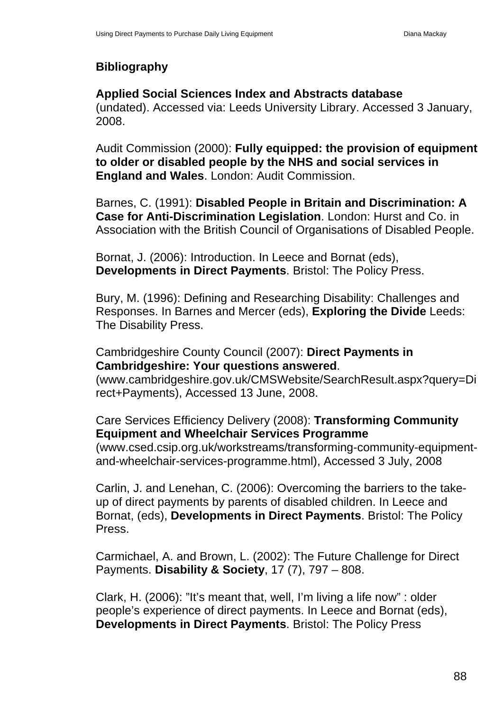# **Bibliography**

# **Applied Social Sciences Index and Abstracts database**

(undated). Accessed via: Leeds University Library. Accessed 3 January, 2008.

Audit Commission (2000): **Fully equipped: the provision of equipment to older or disabled people by the NHS and social services in England and Wales**. London: Audit Commission.

Barnes, C. (1991): **Disabled People in Britain and Discrimination: A Case for Anti-Discrimination Legislation**. London: Hurst and Co. in Association with the British Council of Organisations of Disabled People.

Bornat, J. (2006): Introduction. In Leece and Bornat (eds), **Developments in Direct Payments**. Bristol: The Policy Press.

Bury, M. (1996): Defining and Researching Disability: Challenges and Responses. In Barnes and Mercer (eds), **Exploring the Divide** Leeds: The Disability Press.

# Cambridgeshire County Council (2007): **Direct Payments in Cambridgeshire: Your questions answered**.

(www.cambridgeshire.gov.uk/CMSWebsite/SearchResult.aspx?query=Di rect+Payments), Accessed 13 June, 2008.

# Care Services Efficiency Delivery (2008): **Transforming Community Equipment and Wheelchair Services Programme**

(www.csed.csip.org.uk/workstreams/transforming-community-equipmentand-wheelchair-services-programme.html), Accessed 3 July, 2008

Carlin, J. and Lenehan, C. (2006): Overcoming the barriers to the takeup of direct payments by parents of disabled children. In Leece and Bornat, (eds), **Developments in Direct Payments**. Bristol: The Policy Press.

Carmichael, A. and Brown, L. (2002): The Future Challenge for Direct Payments. **Disability & Society**, 17 (7), 797 – 808.

Clark, H. (2006): "It's meant that, well, I'm living a life now" : older people's experience of direct payments. In Leece and Bornat (eds), **Developments in Direct Payments**. Bristol: The Policy Press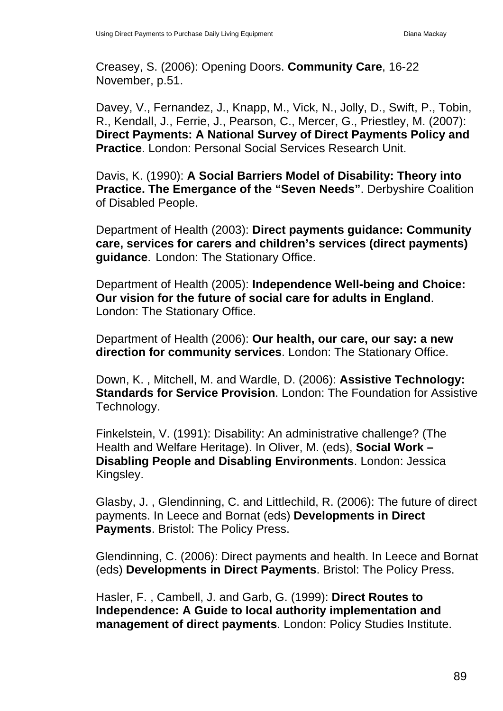Creasey, S. (2006): Opening Doors. **Community Care**, 16-22 November, p.51.

Davey, V., Fernandez, J., Knapp, M., Vick, N., Jolly, D., Swift, P., Tobin, R., Kendall, J., Ferrie, J., Pearson, C., Mercer, G., Priestley, M. (2007): **Direct Payments: A National Survey of Direct Payments Policy and Practice**. London: Personal Social Services Research Unit.

Davis, K. (1990): **A Social Barriers Model of Disability: Theory into Practice. The Emergance of the "Seven Needs"**. Derbyshire Coalition of Disabled People.

Department of Health (2003): **Direct payments guidance: Community care, services for carers and children's services (direct payments) guidance**. London: The Stationary Office.

Department of Health (2005): **Independence Well-being and Choice: Our vision for the future of social care for adults in England**. London: The Stationary Office.

Department of Health (2006): **Our health, our care, our say: a new direction for community services**. London: The Stationary Office.

Down, K. , Mitchell, M. and Wardle, D. (2006): **Assistive Technology: Standards for Service Provision**. London: The Foundation for Assistive Technology.

Finkelstein, V. (1991): Disability: An administrative challenge? (The Health and Welfare Heritage). In Oliver, M. (eds), **Social Work – Disabling People and Disabling Environments**. London: Jessica Kingsley.

Glasby, J. , Glendinning, C. and Littlechild, R. (2006): The future of direct payments. In Leece and Bornat (eds) **Developments in Direct Payments**. Bristol: The Policy Press.

Glendinning, C. (2006): Direct payments and health. In Leece and Bornat (eds) **Developments in Direct Payments**. Bristol: The Policy Press.

Hasler, F. , Cambell, J. and Garb, G. (1999): **Direct Routes to Independence: A Guide to local authority implementation and management of direct payments**. London: Policy Studies Institute.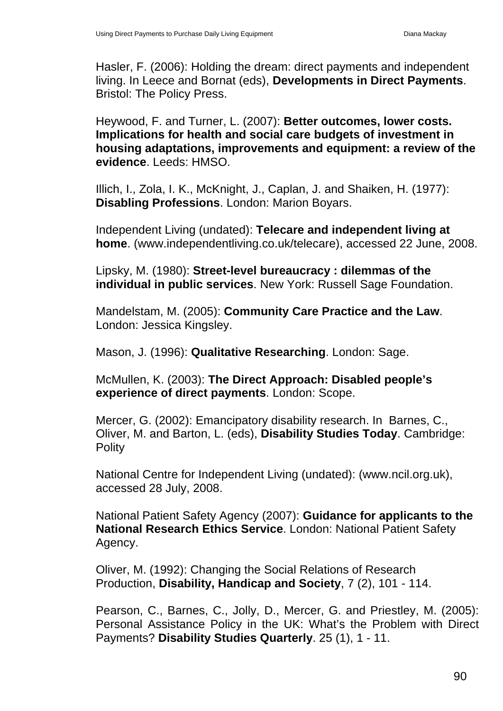Hasler, F. (2006): Holding the dream: direct payments and independent living. In Leece and Bornat (eds), **Developments in Direct Payments**. Bristol: The Policy Press.

Heywood, F. and Turner, L. (2007): **Better outcomes, lower costs. Implications for health and social care budgets of investment in housing adaptations, improvements and equipment: a review of the evidence**. Leeds: HMSO.

Illich, I., Zola, I. K., McKnight, J., Caplan, J. and Shaiken, H. (1977): **Disabling Professions**. London: Marion Boyars.

Independent Living (undated): **Telecare and independent living at home**. (www.independentliving.co.uk/telecare), accessed 22 June, 2008.

Lipsky, M. (1980): **Street-level bureaucracy : dilemmas of the individual in public services**. New York: Russell Sage Foundation.

Mandelstam, M. (2005): **Community Care Practice and the Law**. London: Jessica Kingsley.

Mason, J. (1996): **Qualitative Researching**. London: Sage.

McMullen, K. (2003): **The Direct Approach: Disabled people's experience of direct payments**. London: Scope.

Mercer, G. (2002): Emancipatory disability research. In Barnes, C., Oliver, M. and Barton, L. (eds), **Disability Studies Today**. Cambridge: Polity

National Centre for Independent Living (undated): (www.ncil.org.uk), accessed 28 July, 2008.

National Patient Safety Agency (2007): **Guidance for applicants to the National Research Ethics Service**. London: National Patient Safety Agency.

Oliver, M. (1992): Changing the Social Relations of Research Production, **Disability, Handicap and Society**, 7 (2), 101 - 114.

Pearson, C., Barnes, C., Jolly, D., Mercer, G. and Priestley, M. (2005): Personal Assistance Policy in the UK: What's the Problem with Direct Payments? **Disability Studies Quarterly**. 25 (1), 1 - 11.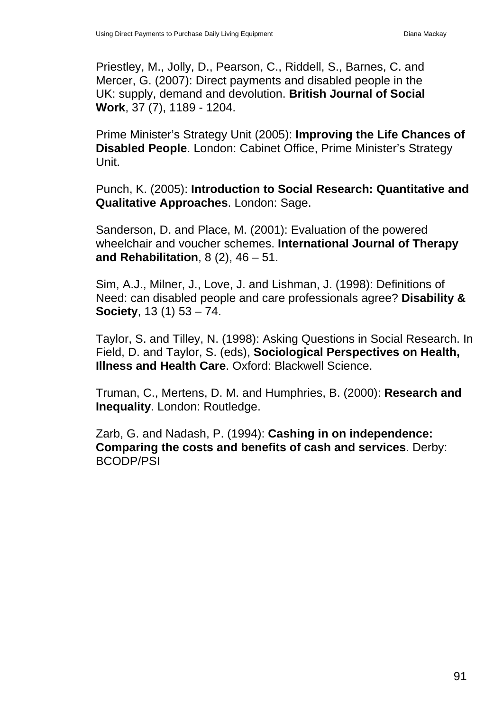Priestley, M., Jolly, D., Pearson, C., Riddell, S., Barnes, C. and Mercer, G. (2007): Direct payments and disabled people in the UK: supply, demand and devolution. **British Journal of Social Work**, 37 (7), 1189 - 1204.

Prime Minister's Strategy Unit (2005): **Improving the Life Chances of Disabled People**. London: Cabinet Office, Prime Minister's Strategy Unit.

Punch, K. (2005): **Introduction to Social Research: Quantitative and Qualitative Approaches**. London: Sage.

Sanderson, D. and Place, M. (2001): Evaluation of the powered wheelchair and voucher schemes. **International Journal of Therapy and Rehabilitation**, 8 (2), 46 – 51.

Sim, A.J., Milner, J., Love, J. and Lishman, J. (1998): Definitions of Need: can disabled people and care professionals agree? **Disability & Society**, 13 (1) 53 – 74.

Taylor, S. and Tilley, N. (1998): Asking Questions in Social Research. In Field, D. and Taylor, S. (eds), **Sociological Perspectives on Health, Illness and Health Care**. Oxford: Blackwell Science.

Truman, C., Mertens, D. M. and Humphries, B. (2000): **Research and Inequality**. London: Routledge.

Zarb, G. and Nadash, P. (1994): **Cashing in on independence: Comparing the costs and benefits of cash and services**. Derby: BCODP/PSI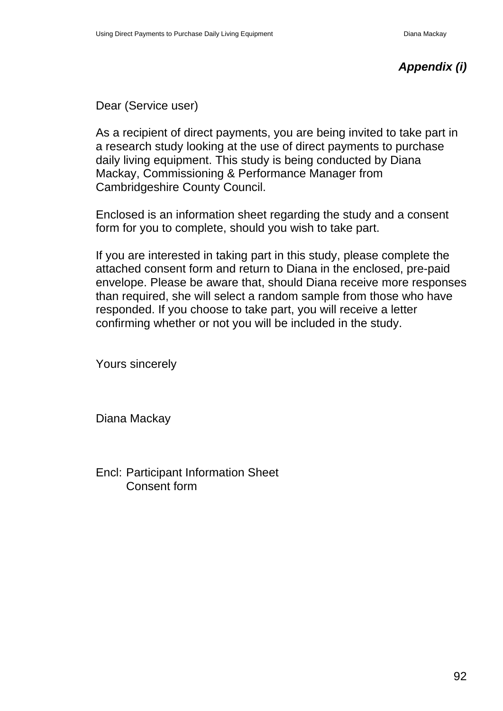# *Appendix (i)*

Dear (Service user)

As a recipient of direct payments, you are being invited to take part in a research study looking at the use of direct payments to purchase daily living equipment. This study is being conducted by Diana Mackay, Commissioning & Performance Manager from Cambridgeshire County Council.

Enclosed is an information sheet regarding the study and a consent form for you to complete, should you wish to take part.

If you are interested in taking part in this study, please complete the attached consent form and return to Diana in the enclosed, pre-paid envelope. Please be aware that, should Diana receive more responses than required, she will select a random sample from those who have responded. If you choose to take part, you will receive a letter confirming whether or not you will be included in the study.

Yours sincerely

Diana Mackay

Encl: Participant Information Sheet Consent form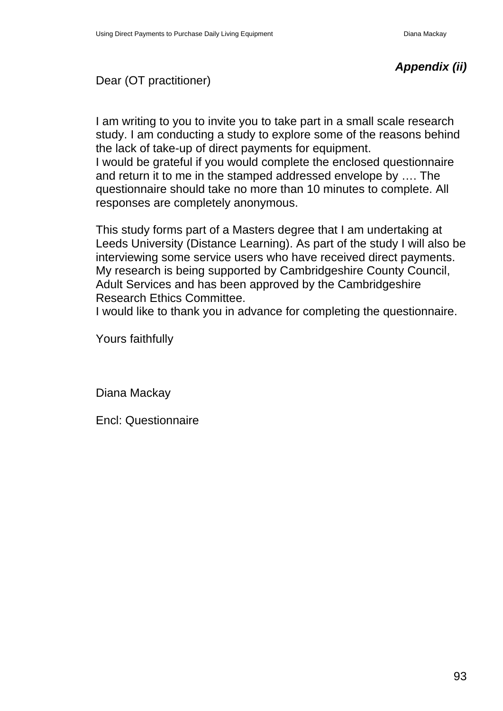# *Appendix (ii)*

## Dear (OT practitioner)

I am writing to you to invite you to take part in a small scale research study. I am conducting a study to explore some of the reasons behind the lack of take-up of direct payments for equipment.

I would be grateful if you would complete the enclosed questionnaire and return it to me in the stamped addressed envelope by …. The questionnaire should take no more than 10 minutes to complete. All responses are completely anonymous.

This study forms part of a Masters degree that I am undertaking at Leeds University (Distance Learning). As part of the study I will also be interviewing some service users who have received direct payments. My research is being supported by Cambridgeshire County Council, Adult Services and has been approved by the Cambridgeshire Research Ethics Committee.

I would like to thank you in advance for completing the questionnaire.

Yours faithfully

Diana Mackay

Encl: Questionnaire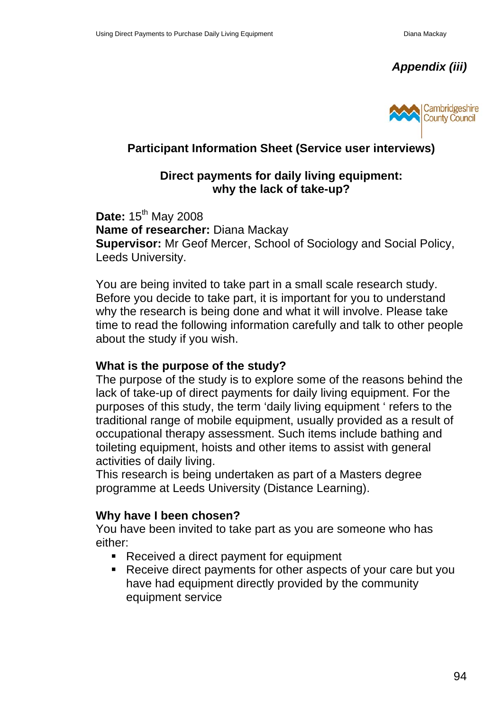*Appendix (iii)* 



# **Participant Information Sheet (Service user interviews)**

## **Direct payments for daily living equipment: why the lack of take-up?**

**Date:** 15<sup>th</sup> May 2008 **Name of researcher:** Diana Mackay **Supervisor:** Mr Geof Mercer, School of Sociology and Social Policy, Leeds University.

You are being invited to take part in a small scale research study. Before you decide to take part, it is important for you to understand why the research is being done and what it will involve. Please take time to read the following information carefully and talk to other people about the study if you wish.

## **What is the purpose of the study?**

The purpose of the study is to explore some of the reasons behind the lack of take-up of direct payments for daily living equipment. For the purposes of this study, the term 'daily living equipment ' refers to the traditional range of mobile equipment, usually provided as a result of occupational therapy assessment. Such items include bathing and toileting equipment, hoists and other items to assist with general activities of daily living.

This research is being undertaken as part of a Masters degree programme at Leeds University (Distance Learning).

## **Why have I been chosen?**

You have been invited to take part as you are someone who has either:

- Received a direct payment for equipment
- Receive direct payments for other aspects of your care but you have had equipment directly provided by the community equipment service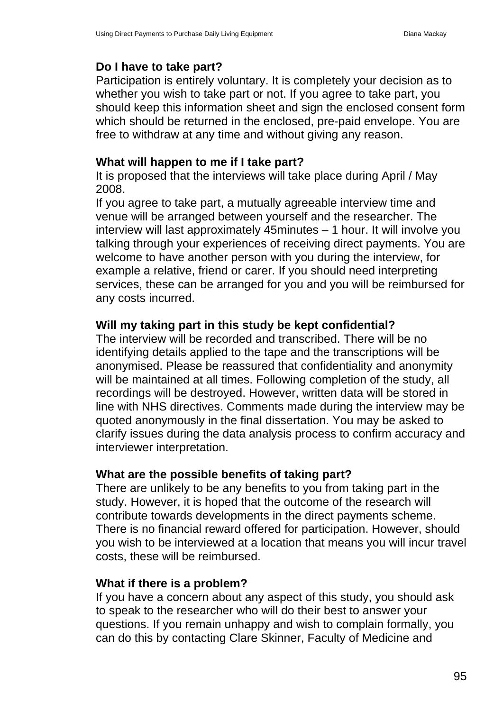## **Do I have to take part?**

Participation is entirely voluntary. It is completely your decision as to whether you wish to take part or not. If you agree to take part, you should keep this information sheet and sign the enclosed consent form which should be returned in the enclosed, pre-paid envelope. You are free to withdraw at any time and without giving any reason.

#### **What will happen to me if I take part?**

It is proposed that the interviews will take place during April / May 2008.

If you agree to take part, a mutually agreeable interview time and venue will be arranged between yourself and the researcher. The interview will last approximately 45minutes – 1 hour. It will involve you talking through your experiences of receiving direct payments. You are welcome to have another person with you during the interview, for example a relative, friend or carer. If you should need interpreting services, these can be arranged for you and you will be reimbursed for any costs incurred.

## **Will my taking part in this study be kept confidential?**

The interview will be recorded and transcribed. There will be no identifying details applied to the tape and the transcriptions will be anonymised. Please be reassured that confidentiality and anonymity will be maintained at all times. Following completion of the study, all recordings will be destroyed. However, written data will be stored in line with NHS directives. Comments made during the interview may be quoted anonymously in the final dissertation. You may be asked to clarify issues during the data analysis process to confirm accuracy and interviewer interpretation.

## **What are the possible benefits of taking part?**

There are unlikely to be any benefits to you from taking part in the study. However, it is hoped that the outcome of the research will contribute towards developments in the direct payments scheme. There is no financial reward offered for participation. However, should you wish to be interviewed at a location that means you will incur travel costs, these will be reimbursed.

## **What if there is a problem?**

If you have a concern about any aspect of this study, you should ask to speak to the researcher who will do their best to answer your questions. If you remain unhappy and wish to complain formally, you can do this by contacting Clare Skinner, Faculty of Medicine and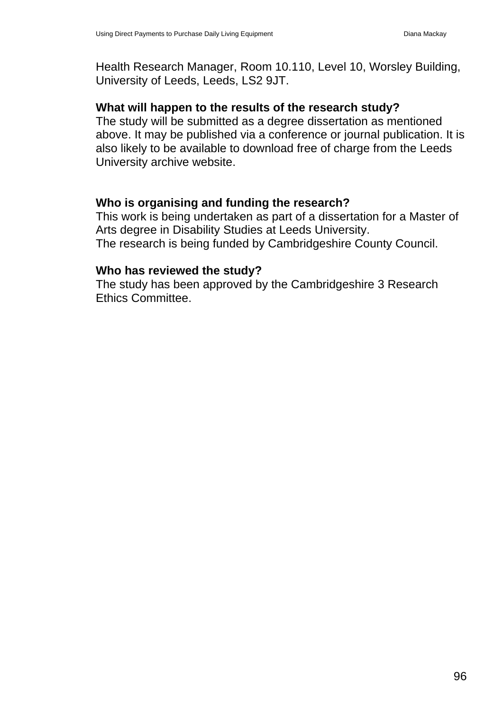Health Research Manager, Room 10.110, Level 10, Worsley Building, University of Leeds, Leeds, LS2 9JT.

## **What will happen to the results of the research study?**

The study will be submitted as a degree dissertation as mentioned above. It may be published via a conference or journal publication. It is also likely to be available to download free of charge from the Leeds University archive website.

# **Who is organising and funding the research?**

This work is being undertaken as part of a dissertation for a Master of Arts degree in Disability Studies at Leeds University. The research is being funded by Cambridgeshire County Council.

## **Who has reviewed the study?**

The study has been approved by the Cambridgeshire 3 Research Ethics Committee.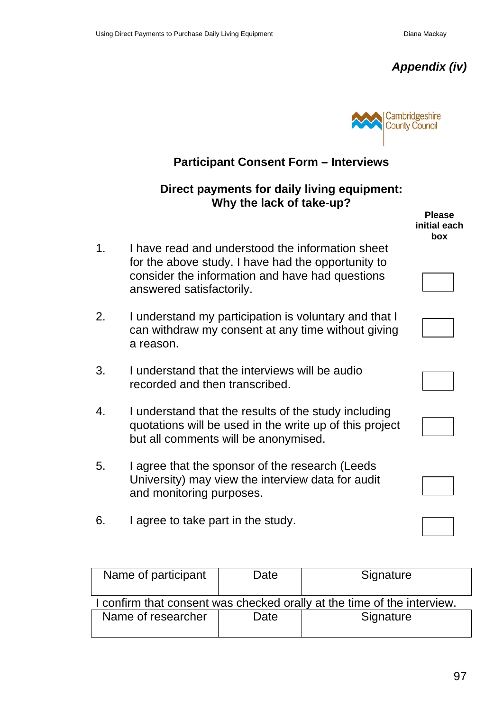



# **Participant Consent Form – Interviews Direct payments for daily living equipment: Why the lack of take-up? Please initial each box**  1. I have read and understood the information sheet for the above study. I have had the opportunity to consider the information and have had questions answered satisfactorily. 2. I understand my participation is voluntary and that I can withdraw my consent at any time without giving a reason. 3. I understand that the interviews will be audio recorded and then transcribed. 4. I understand that the results of the study including quotations will be used in the write up of this project but all comments will be anonymised. 5. I agree that the sponsor of the research (Leeds University) may view the interview data for audit and monitoring purposes. 6. I agree to take part in the study.

| Name of participant                                                     | Date | Signature |  |  |  |
|-------------------------------------------------------------------------|------|-----------|--|--|--|
| I confirm that consent was checked orally at the time of the interview. |      |           |  |  |  |
| Name of researcher                                                      | Date | Signature |  |  |  |
|                                                                         |      |           |  |  |  |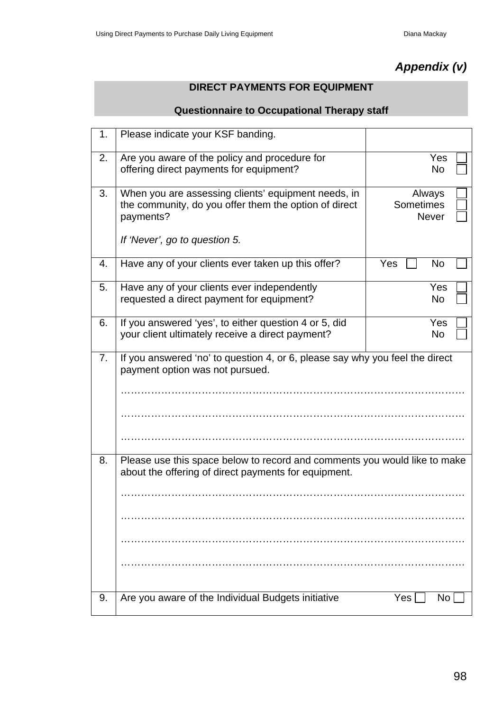# *Appendix (v)*

## **DIRECT PAYMENTS FOR EQUIPMENT**

#### **Questionnaire to Occupational Therapy staff**

| 1. | Please indicate your KSF banding.                                                                                                 |                                            |  |  |
|----|-----------------------------------------------------------------------------------------------------------------------------------|--------------------------------------------|--|--|
| 2. | Are you aware of the policy and procedure for<br>offering direct payments for equipment?                                          | Yes<br>No                                  |  |  |
| 3. | When you are assessing clients' equipment needs, in<br>the community, do you offer them the option of direct<br>payments?         | Always<br><b>Sometimes</b><br><b>Never</b> |  |  |
|    | If 'Never', go to question 5.                                                                                                     |                                            |  |  |
| 4. | Have any of your clients ever taken up this offer?                                                                                | Yes<br>No                                  |  |  |
| 5. | Have any of your clients ever independently<br>requested a direct payment for equipment?                                          | Yes<br>No                                  |  |  |
| 6. | If you answered 'yes', to either question 4 or 5, did<br>your client ultimately receive a direct payment?                         | Yes<br>No                                  |  |  |
| 7. | If you answered 'no' to question 4, or 6, please say why you feel the direct<br>payment option was not pursued.                   |                                            |  |  |
|    |                                                                                                                                   |                                            |  |  |
|    |                                                                                                                                   |                                            |  |  |
|    |                                                                                                                                   |                                            |  |  |
| 8. | Please use this space below to record and comments you would like to make<br>about the offering of direct payments for equipment. |                                            |  |  |
|    |                                                                                                                                   |                                            |  |  |
|    |                                                                                                                                   |                                            |  |  |
|    |                                                                                                                                   |                                            |  |  |
|    |                                                                                                                                   |                                            |  |  |
| 9. | Are you aware of the Individual Budgets initiative                                                                                | Yes<br>No                                  |  |  |
|    |                                                                                                                                   |                                            |  |  |